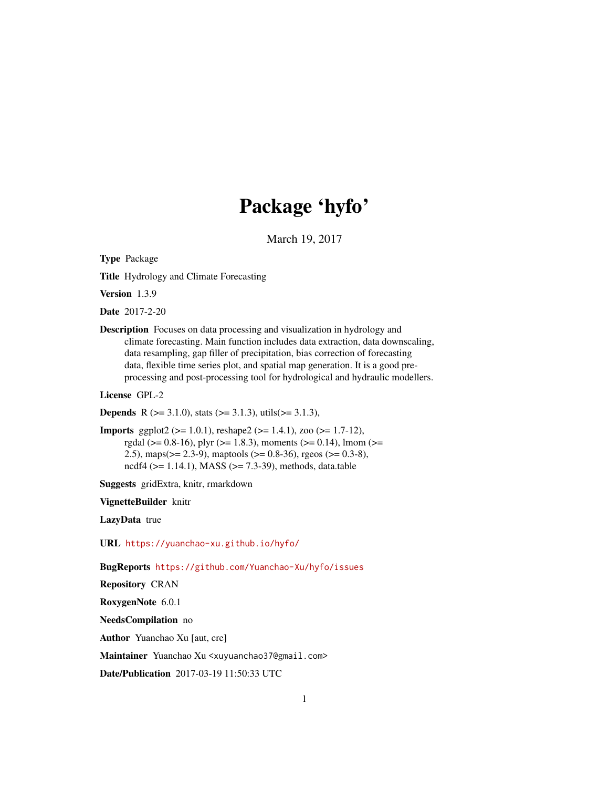# Package 'hyfo'

March 19, 2017

Type Package

Title Hydrology and Climate Forecasting

Version 1.3.9

Date 2017-2-20

Description Focuses on data processing and visualization in hydrology and climate forecasting. Main function includes data extraction, data downscaling, data resampling, gap filler of precipitation, bias correction of forecasting data, flexible time series plot, and spatial map generation. It is a good preprocessing and post-processing tool for hydrological and hydraulic modellers.

License GPL-2

**Depends** R ( $>= 3.1.0$ ), stats ( $>= 3.1.3$ ), utils( $>= 3.1.3$ ),

**Imports** ggplot2 ( $>= 1.0.1$ ), reshape2 ( $>= 1.4.1$ ), zoo ( $>= 1.7-12$ ), rgdal ( $>= 0.8-16$ ), plyr ( $>= 1.8.3$ ), moments ( $>= 0.14$ ), lmom ( $>=$ 2.5), maps(>= 2.3-9), maptools (>= 0.8-36), rgeos (>= 0.3-8), ncdf4 (>= 1.14.1), MASS (>= 7.3-39), methods, data.table

Suggests gridExtra, knitr, rmarkdown

VignetteBuilder knitr

LazyData true

URL <https://yuanchao-xu.github.io/hyfo/>

BugReports <https://github.com/Yuanchao-Xu/hyfo/issues>

Repository CRAN

RoxygenNote 6.0.1

NeedsCompilation no

Author Yuanchao Xu [aut, cre]

Maintainer Yuanchao Xu <xuyuanchao37@gmail.com>

Date/Publication 2017-03-19 11:50:33 UTC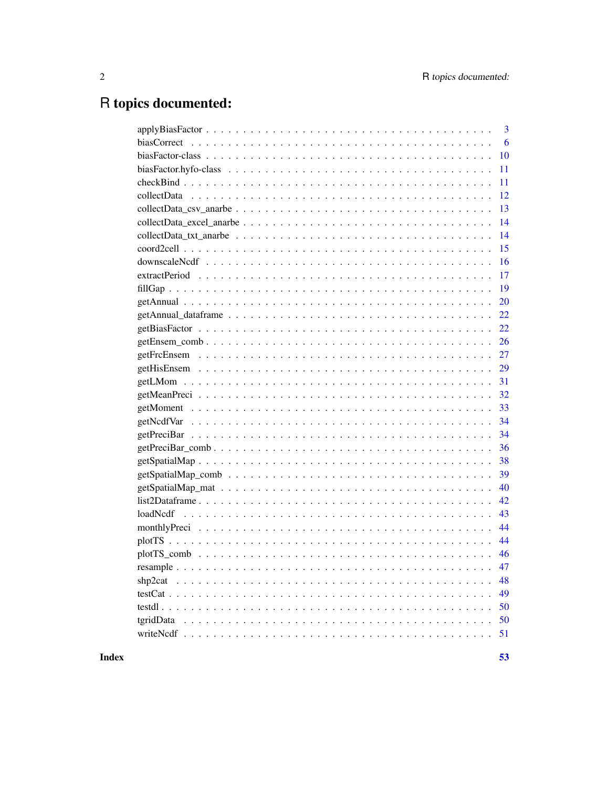# R topics documented:

| 3                                                                                                                                                                                  |
|------------------------------------------------------------------------------------------------------------------------------------------------------------------------------------|
| 6                                                                                                                                                                                  |
| 10                                                                                                                                                                                 |
| 11                                                                                                                                                                                 |
| 11                                                                                                                                                                                 |
| 12                                                                                                                                                                                 |
| 13                                                                                                                                                                                 |
| 14                                                                                                                                                                                 |
| 14                                                                                                                                                                                 |
| 15                                                                                                                                                                                 |
| 16                                                                                                                                                                                 |
| 17                                                                                                                                                                                 |
| 19                                                                                                                                                                                 |
| 20                                                                                                                                                                                 |
| 22                                                                                                                                                                                 |
| 22                                                                                                                                                                                 |
| 26                                                                                                                                                                                 |
| 27                                                                                                                                                                                 |
| 29                                                                                                                                                                                 |
| 31                                                                                                                                                                                 |
| 32                                                                                                                                                                                 |
| 33                                                                                                                                                                                 |
| 34                                                                                                                                                                                 |
| 34                                                                                                                                                                                 |
| 36                                                                                                                                                                                 |
| 38                                                                                                                                                                                 |
| 39                                                                                                                                                                                 |
| 40                                                                                                                                                                                 |
| 42                                                                                                                                                                                 |
| 43                                                                                                                                                                                 |
| 44                                                                                                                                                                                 |
| 44                                                                                                                                                                                 |
| 46                                                                                                                                                                                 |
| resample, $\ldots$ , $\ldots$ , $\ldots$ , $\ldots$ , $\ldots$ , $\ldots$ , $\ldots$ , $\ldots$ , $\ldots$ , $\ldots$ , $\ldots$ , $\ldots$ , $\ldots$ , $\ldots$ , $\ldots$<br>47 |
| 48                                                                                                                                                                                 |
| 49                                                                                                                                                                                 |
| 50                                                                                                                                                                                 |
| tgridData<br>50                                                                                                                                                                    |
| 51                                                                                                                                                                                 |
|                                                                                                                                                                                    |

**Index**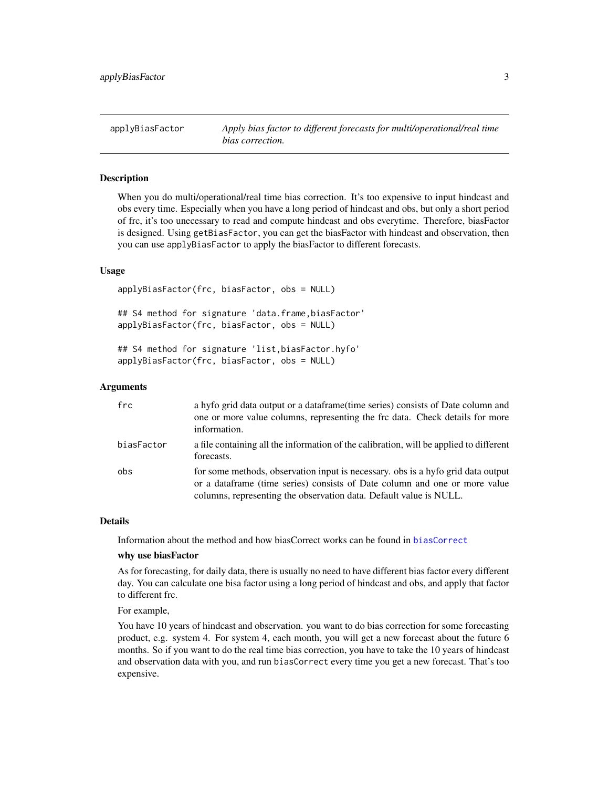<span id="page-2-1"></span><span id="page-2-0"></span>applyBiasFactor *Apply bias factor to different forecasts for multi/operational/real time bias correction.*

#### **Description**

When you do multi/operational/real time bias correction. It's too expensive to input hindcast and obs every time. Especially when you have a long period of hindcast and obs, but only a short period of frc, it's too unecessary to read and compute hindcast and obs everytime. Therefore, biasFactor is designed. Using getBiasFactor, you can get the biasFactor with hindcast and observation, then you can use applyBiasFactor to apply the biasFactor to different forecasts.

#### Usage

applyBiasFactor(frc, biasFactor, obs = NULL)

## S4 method for signature 'data.frame,biasFactor' applyBiasFactor(frc, biasFactor, obs = NULL)

## S4 method for signature 'list,biasFactor.hyfo' applyBiasFactor(frc, biasFactor, obs = NULL)

#### Arguments

| frc        | a hyfo grid data output or a dataframe (time series) consists of Date column and<br>one or more value columns, representing the frc data. Check details for more<br>information.                                                     |
|------------|--------------------------------------------------------------------------------------------------------------------------------------------------------------------------------------------------------------------------------------|
| biasFactor | a file containing all the information of the calibration, will be applied to different<br>forecasts.                                                                                                                                 |
| obs        | for some methods, observation input is necessary, obs is a hyfo grid data output<br>or a dataframe (time series) consists of Date column and one or more value<br>columns, representing the observation data. Default value is NULL. |

#### Details

Information about the method and how biasCorrect works can be found in [biasCorrect](#page-5-1)

#### why use biasFactor

As for forecasting, for daily data, there is usually no need to have different bias factor every different day. You can calculate one bisa factor using a long period of hindcast and obs, and apply that factor to different frc.

For example,

You have 10 years of hindcast and observation. you want to do bias correction for some forecasting product, e.g. system 4. For system 4, each month, you will get a new forecast about the future 6 months. So if you want to do the real time bias correction, you have to take the 10 years of hindcast and observation data with you, and run biasCorrect every time you get a new forecast. That's too expensive.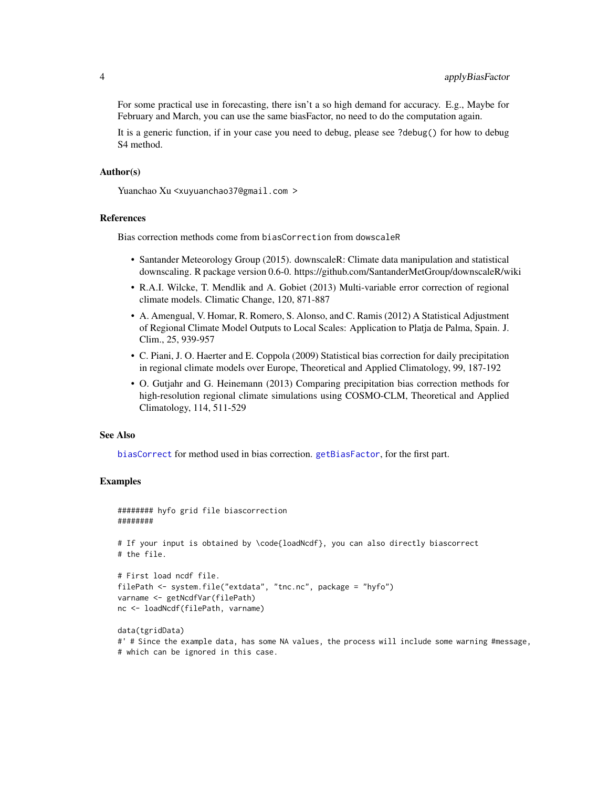<span id="page-3-0"></span>For some practical use in forecasting, there isn't a so high demand for accuracy. E.g., Maybe for February and March, you can use the same biasFactor, no need to do the computation again.

It is a generic function, if in your case you need to debug, please see ?debug() for how to debug S4 method.

#### Author(s)

Yuanchao Xu <xuyuanchao37@gmail.com >

### References

Bias correction methods come from biasCorrection from dowscaleR

- Santander Meteorology Group (2015). downscaleR: Climate data manipulation and statistical downscaling. R package version 0.6-0. https://github.com/SantanderMetGroup/downscaleR/wiki
- R.A.I. Wilcke, T. Mendlik and A. Gobiet (2013) Multi-variable error correction of regional climate models. Climatic Change, 120, 871-887
- A. Amengual, V. Homar, R. Romero, S. Alonso, and C. Ramis (2012) A Statistical Adjustment of Regional Climate Model Outputs to Local Scales: Application to Platja de Palma, Spain. J. Clim., 25, 939-957
- C. Piani, J. O. Haerter and E. Coppola (2009) Statistical bias correction for daily precipitation in regional climate models over Europe, Theoretical and Applied Climatology, 99, 187-192
- O. Gutjahr and G. Heinemann (2013) Comparing precipitation bias correction methods for high-resolution regional climate simulations using COSMO-CLM, Theoretical and Applied Climatology, 114, 511-529

#### See Also

[biasCorrect](#page-5-1) for method used in bias correction. [getBiasFactor](#page-21-1), for the first part.

#### Examples

```
######## hyfo grid file biascorrection
########
# If your input is obtained by \code{loadNcdf}, you can also directly biascorrect
# the file.
# First load ncdf file.
filePath <- system.file("extdata", "tnc.nc", package = "hyfo")
varname <- getNcdfVar(filePath)
nc <- loadNcdf(filePath, varname)
data(tgridData)
#' # Since the example data, has some NA values, the process will include some warning #message,
```

```
# which can be ignored in this case.
```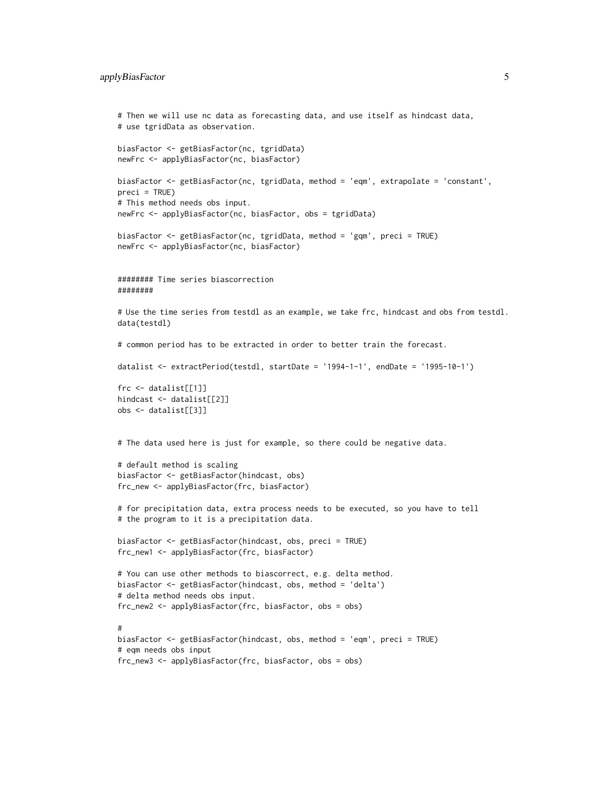```
# Then we will use nc data as forecasting data, and use itself as hindcast data,
# use tgridData as observation.
biasFactor <- getBiasFactor(nc, tgridData)
newFrc <- applyBiasFactor(nc, biasFactor)
biasFactor <- getBiasFactor(nc, tgridData, method = 'eqm', extrapolate = 'constant',
preci = TRUE)
# This method needs obs input.
newFrc <- applyBiasFactor(nc, biasFactor, obs = tgridData)
biasFactor <- getBiasFactor(nc, tgridData, method = 'gqm', preci = TRUE)
newFrc <- applyBiasFactor(nc, biasFactor)
######## Time series biascorrection
########
# Use the time series from testdl as an example, we take frc, hindcast and obs from testdl.
data(testdl)
# common period has to be extracted in order to better train the forecast.
datalist <- extractPeriod(testdl, startDate = '1994-1-1', endDate = '1995-10-1')
frc <- datalist[[1]]
hindcast <- datalist[[2]]
obs <- datalist[[3]]
# The data used here is just for example, so there could be negative data.
# default method is scaling
biasFactor <- getBiasFactor(hindcast, obs)
frc_new <- applyBiasFactor(frc, biasFactor)
# for precipitation data, extra process needs to be executed, so you have to tell
# the program to it is a precipitation data.
biasFactor <- getBiasFactor(hindcast, obs, preci = TRUE)
frc_new1 <- applyBiasFactor(frc, biasFactor)
# You can use other methods to biascorrect, e.g. delta method.
biasFactor <- getBiasFactor(hindcast, obs, method = 'delta')
# delta method needs obs input.
frc_new2 <- applyBiasFactor(frc, biasFactor, obs = obs)
#
biasFactor <- getBiasFactor(hindcast, obs, method = 'eqm', preci = TRUE)
# eqm needs obs input
frc_new3 <- applyBiasFactor(frc, biasFactor, obs = obs)
```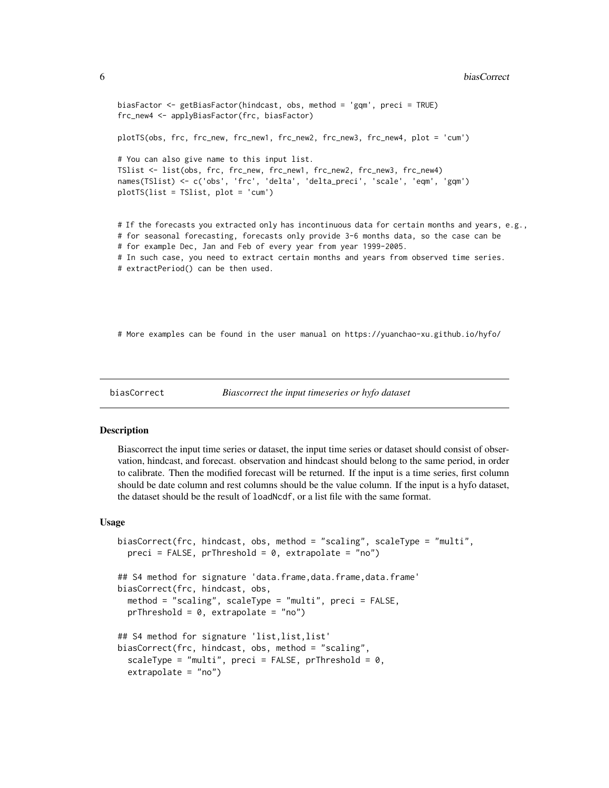```
biasFactor <- getBiasFactor(hindcast, obs, method = 'gqm', preci = TRUE)
frc_new4 <- applyBiasFactor(frc, biasFactor)
plotTS(obs, frc, frc_new, frc_new1, frc_new2, frc_new3, frc_new4, plot = 'cum')
# You can also give name to this input list.
TSlist <- list(obs, frc, frc_new, frc_new1, frc_new2, frc_new3, frc_new4)
names(TSlist) <- c('obs', 'frc', 'delta', 'delta_preci', 'scale', 'eqm', 'gqm')
plotTS(list = TSlist, plot = 'cum')
# If the forecasts you extracted only has incontinuous data for certain months and years, e.g.,
# for seasonal forecasting, forecasts only provide 3-6 months data, so the case can be
# for example Dec, Jan and Feb of every year from year 1999-2005.
# In such case, you need to extract certain months and years from observed time series.
# extractPeriod() can be then used.
```
# More examples can be found in the user manual on https://yuanchao-xu.github.io/hyfo/

```
biasCorrect Biascorrect the input timeseries or hyfo dataset
```
#### **Description**

Biascorrect the input time series or dataset, the input time series or dataset should consist of observation, hindcast, and forecast. observation and hindcast should belong to the same period, in order to calibrate. Then the modified forecast will be returned. If the input is a time series, first column should be date column and rest columns should be the value column. If the input is a hyfo dataset, the dataset should be the result of loadNcdf, or a list file with the same format.

#### Usage

```
biasCorrect(frc, hindcast, obs, method = "scaling", scaleType = "multi",
 preci = FALSE, prThreshold = 0, extrapolate = "no")## S4 method for signature 'data.frame,data.frame,data.frame'
biasCorrect(frc, hindcast, obs,
 method = "scaling", scaleType = "multi", preci = FALSE,
 prThreshold = 0, extrapolate = "no")## S4 method for signature 'list,list,list'
biasCorrect(frc, hindcast, obs, method = "scaling",
  scaleType = "multi", preci = FALSE, prThreshold = 0,
  extrapolate = "no")
```
<span id="page-5-0"></span>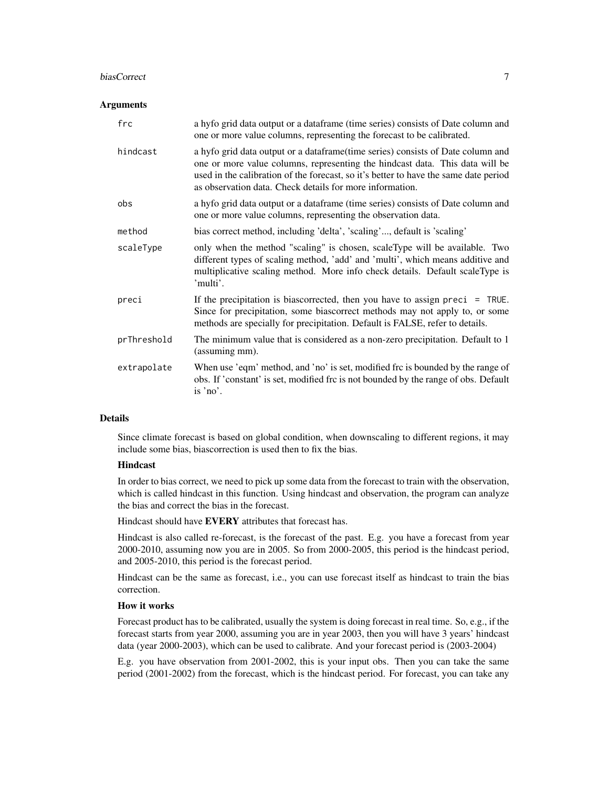#### biasCorrect 7 and 2008 and 2008 and 2008 and 2008 and 2008 and 2008 and 2008 and 2008 and 2008 and 2008 and 20

#### **Arguments**

| frc         | a hyfo grid data output or a dataframe (time series) consists of Date column and<br>one or more value columns, representing the forecast to be calibrated.                                                                                                                                                          |
|-------------|---------------------------------------------------------------------------------------------------------------------------------------------------------------------------------------------------------------------------------------------------------------------------------------------------------------------|
| hindcast    | a hyfo grid data output or a dataframe(time series) consists of Date column and<br>one or more value columns, representing the hindcast data. This data will be<br>used in the calibration of the forecast, so it's better to have the same date period<br>as observation data. Check details for more information. |
| obs         | a hyfo grid data output or a dataframe (time series) consists of Date column and<br>one or more value columns, representing the observation data.                                                                                                                                                                   |
| method      | bias correct method, including 'delta', 'scaling', default is 'scaling'                                                                                                                                                                                                                                             |
| scaleType   | only when the method "scaling" is chosen, scaleType will be available. Two<br>different types of scaling method, 'add' and 'multi', which means additive and<br>multiplicative scaling method. More info check details. Default scaleType is<br>'multi'.                                                            |
| preci       | If the precipitation is biascorrected, then you have to assign preci = $TRUE$ .<br>Since for precipitation, some biascorrect methods may not apply to, or some<br>methods are specially for precipitation. Default is FALSE, refer to details.                                                                      |
| prThreshold | The minimum value that is considered as a non-zero precipitation. Default to 1<br>(assuming mm).                                                                                                                                                                                                                    |
| extrapolate | When use 'eqm' method, and 'no' is set, modified frc is bounded by the range of<br>obs. If 'constant' is set, modified frc is not bounded by the range of obs. Default<br>is 'no'.                                                                                                                                  |

### **Details**

Since climate forecast is based on global condition, when downscaling to different regions, it may include some bias, biascorrection is used then to fix the bias.

### Hindcast

In order to bias correct, we need to pick up some data from the forecast to train with the observation, which is called hindcast in this function. Using hindcast and observation, the program can analyze the bias and correct the bias in the forecast.

Hindcast should have EVERY attributes that forecast has.

Hindcast is also called re-forecast, is the forecast of the past. E.g. you have a forecast from year 2000-2010, assuming now you are in 2005. So from 2000-2005, this period is the hindcast period, and 2005-2010, this period is the forecast period.

Hindcast can be the same as forecast, i.e., you can use forecast itself as hindcast to train the bias correction.

#### How it works

Forecast product has to be calibrated, usually the system is doing forecast in real time. So, e.g., if the forecast starts from year 2000, assuming you are in year 2003, then you will have 3 years' hindcast data (year 2000-2003), which can be used to calibrate. And your forecast period is (2003-2004)

E.g. you have observation from 2001-2002, this is your input obs. Then you can take the same period (2001-2002) from the forecast, which is the hindcast period. For forecast, you can take any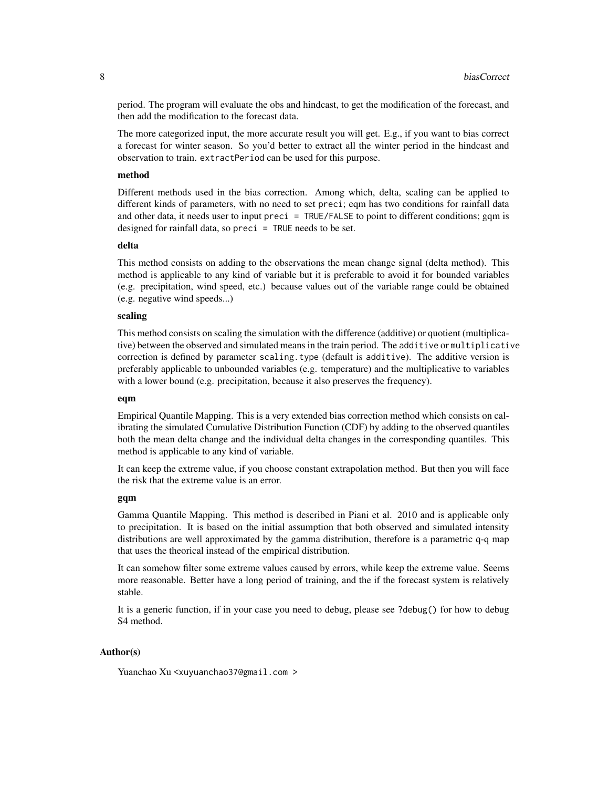period. The program will evaluate the obs and hindcast, to get the modification of the forecast, and then add the modification to the forecast data.

The more categorized input, the more accurate result you will get. E.g., if you want to bias correct a forecast for winter season. So you'd better to extract all the winter period in the hindcast and observation to train. extractPeriod can be used for this purpose.

### method

Different methods used in the bias correction. Among which, delta, scaling can be applied to different kinds of parameters, with no need to set preci; eqm has two conditions for rainfall data and other data, it needs user to input preci = TRUE/FALSE to point to different conditions; gqm is designed for rainfall data, so preci = TRUE needs to be set.

#### delta

This method consists on adding to the observations the mean change signal (delta method). This method is applicable to any kind of variable but it is preferable to avoid it for bounded variables (e.g. precipitation, wind speed, etc.) because values out of the variable range could be obtained (e.g. negative wind speeds...)

### scaling

This method consists on scaling the simulation with the difference (additive) or quotient (multiplicative) between the observed and simulated means in the train period. The additive or multiplicative correction is defined by parameter scaling.type (default is additive). The additive version is preferably applicable to unbounded variables (e.g. temperature) and the multiplicative to variables with a lower bound (e.g. precipitation, because it also preserves the frequency).

#### eqm

Empirical Quantile Mapping. This is a very extended bias correction method which consists on calibrating the simulated Cumulative Distribution Function (CDF) by adding to the observed quantiles both the mean delta change and the individual delta changes in the corresponding quantiles. This method is applicable to any kind of variable.

It can keep the extreme value, if you choose constant extrapolation method. But then you will face the risk that the extreme value is an error.

#### gqm

Gamma Quantile Mapping. This method is described in Piani et al. 2010 and is applicable only to precipitation. It is based on the initial assumption that both observed and simulated intensity distributions are well approximated by the gamma distribution, therefore is a parametric q-q map that uses the theorical instead of the empirical distribution.

It can somehow filter some extreme values caused by errors, while keep the extreme value. Seems more reasonable. Better have a long period of training, and the if the forecast system is relatively stable.

It is a generic function, if in your case you need to debug, please see ?debug() for how to debug S4 method.

#### Author(s)

Yuanchao Xu <xuyuanchao37@gmail.com >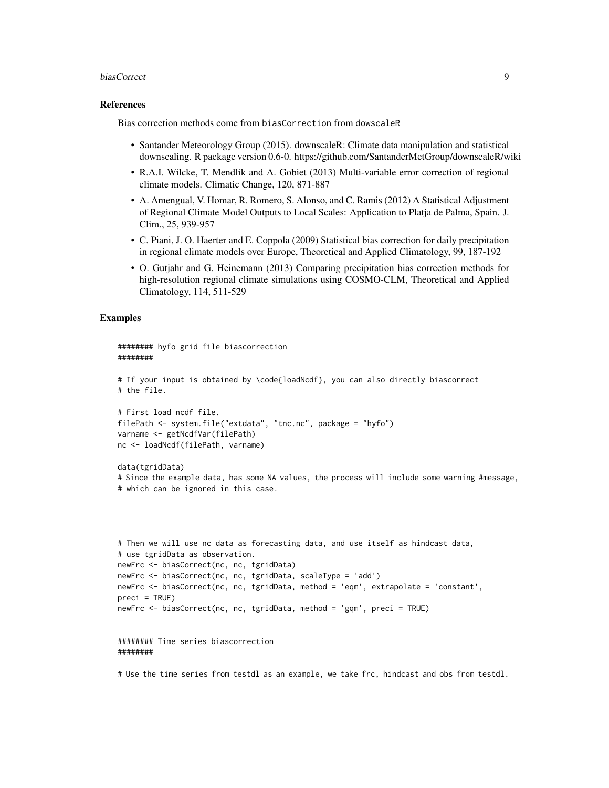#### biasCorrect 9

#### References

Bias correction methods come from biasCorrection from dowscaleR

- Santander Meteorology Group (2015). downscaleR: Climate data manipulation and statistical downscaling. R package version 0.6-0. https://github.com/SantanderMetGroup/downscaleR/wiki
- R.A.I. Wilcke, T. Mendlik and A. Gobiet (2013) Multi-variable error correction of regional climate models. Climatic Change, 120, 871-887
- A. Amengual, V. Homar, R. Romero, S. Alonso, and C. Ramis (2012) A Statistical Adjustment of Regional Climate Model Outputs to Local Scales: Application to Platja de Palma, Spain. J. Clim., 25, 939-957
- C. Piani, J. O. Haerter and E. Coppola (2009) Statistical bias correction for daily precipitation in regional climate models over Europe, Theoretical and Applied Climatology, 99, 187-192
- O. Gutjahr and G. Heinemann (2013) Comparing precipitation bias correction methods for high-resolution regional climate simulations using COSMO-CLM, Theoretical and Applied Climatology, 114, 511-529

### Examples

```
######## hyfo grid file biascorrection
########
# If your input is obtained by \code{loadNcdf}, you can also directly biascorrect
# the file.
# First load ncdf file.
filePath <- system.file("extdata", "tnc.nc", package = "hyfo")
varname <- getNcdfVar(filePath)
nc <- loadNcdf(filePath, varname)
data(tgridData)
# Since the example data, has some NA values, the process will include some warning #message,
# which can be ignored in this case.
# Then we will use nc data as forecasting data, and use itself as hindcast data,
# use tgridData as observation.
newFrc <- biasCorrect(nc, nc, tgridData)
newFrc <- biasCorrect(nc, nc, tgridData, scaleType = 'add')
newFrc <- biasCorrect(nc, nc, tgridData, method = 'eqm', extrapolate = 'constant',
preci = TRUE)
newFrc <- biasCorrect(nc, nc, tgridData, method = 'gqm', preci = TRUE)
######## Time series biascorrection
########
```
# Use the time series from testdl as an example, we take frc, hindcast and obs from testdl.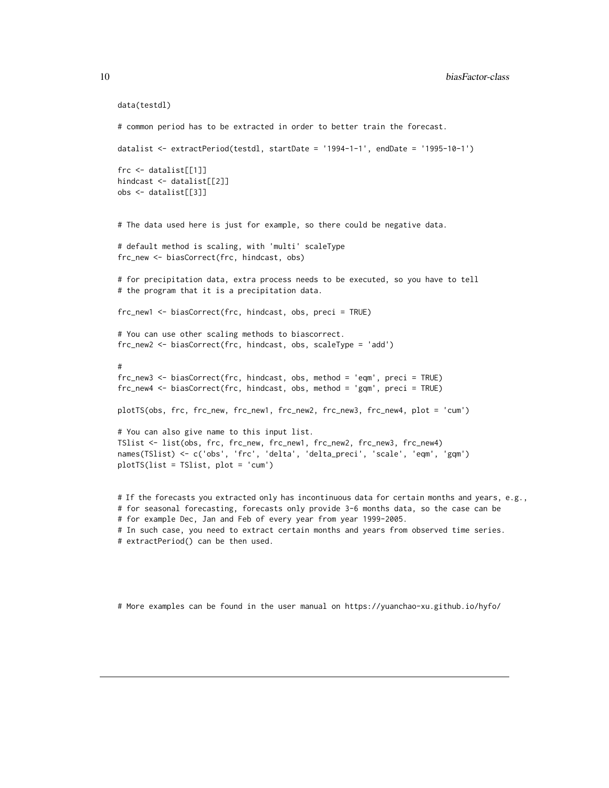```
data(testdl)
# common period has to be extracted in order to better train the forecast.
datalist <- extractPeriod(testdl, startDate = '1994-1-1', endDate = '1995-10-1')
frc <- datalist[[1]]
hindcast <- datalist[[2]]
obs <- datalist[[3]]
# The data used here is just for example, so there could be negative data.
# default method is scaling, with 'multi' scaleType
frc_new <- biasCorrect(frc, hindcast, obs)
# for precipitation data, extra process needs to be executed, so you have to tell
# the program that it is a precipitation data.
frc_new1 <- biasCorrect(frc, hindcast, obs, preci = TRUE)
# You can use other scaling methods to biascorrect.
frc_new2 <- biasCorrect(frc, hindcast, obs, scaleType = 'add')
#
frc_new3 <- biasCorrect(frc, hindcast, obs, method = 'eqm', preci = TRUE)
frc_new4 <- biasCorrect(frc, hindcast, obs, method = 'gqm', preci = TRUE)
plotTS(obs, frc, frc_new, frc_new1, frc_new2, frc_new3, frc_new4, plot = 'cum')
# You can also give name to this input list.
TSlist <- list(obs, frc, frc_new, frc_new1, frc_new2, frc_new3, frc_new4)
names(TSlist) <- c('obs', 'frc', 'delta', 'delta_preci', 'scale', 'eqm', 'gqm')
plotTS(list = TSlist, plot = 'cum')
# If the forecasts you extracted only has incontinuous data for certain months and years, e.g.,
# for seasonal forecasting, forecasts only provide 3-6 months data, so the case can be
```

```
# for example Dec, Jan and Feb of every year from year 1999-2005.
```

```
# In such case, you need to extract certain months and years from observed time series.
```

```
# extractPeriod() can be then used.
```
# More examples can be found in the user manual on https://yuanchao-xu.github.io/hyfo/

<span id="page-9-0"></span>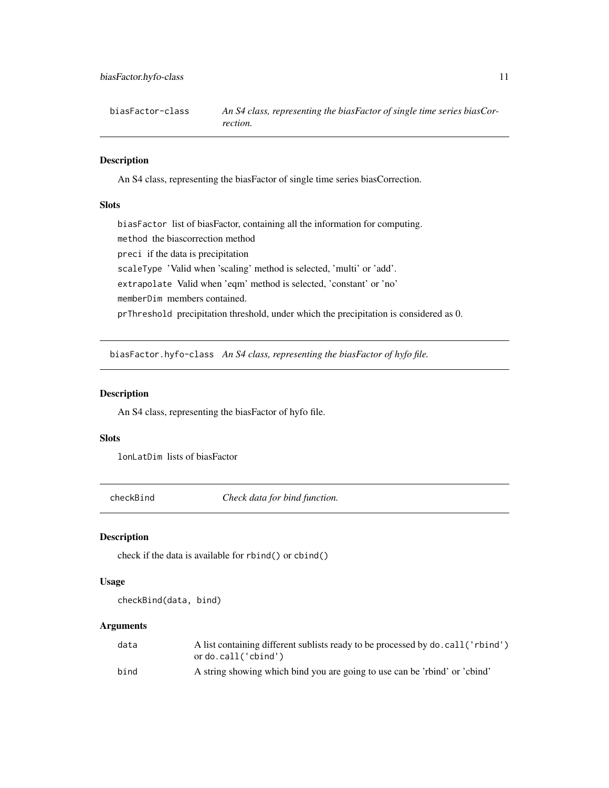<span id="page-10-0"></span>biasFactor-class *An S4 class, representing the biasFactor of single time series biasCorrection.*

### Description

An S4 class, representing the biasFactor of single time series biasCorrection.

#### **Slots**

biasFactor list of biasFactor, containing all the information for computing. method the biascorrection method preci if the data is precipitation scaleType 'Valid when 'scaling' method is selected, 'multi' or 'add'. extrapolate Valid when 'eqm' method is selected, 'constant' or 'no' memberDim members contained. prThreshold precipitation threshold, under which the precipitation is considered as 0.

biasFactor.hyfo-class *An S4 class, representing the biasFactor of hyfo file.*

### Description

An S4 class, representing the biasFactor of hyfo file.

#### Slots

lonLatDim lists of biasFactor

checkBind *Check data for bind function.*

### Description

check if the data is available for rbind() or cbind()

#### Usage

checkBind(data, bind)

### Arguments

| data | A list containing different sublists ready to be processed by do. call ('rbind') |
|------|----------------------------------------------------------------------------------|
|      | ordo.call('cbind')                                                               |
| bind | A string showing which bind you are going to use can be 'right' or 'chind'       |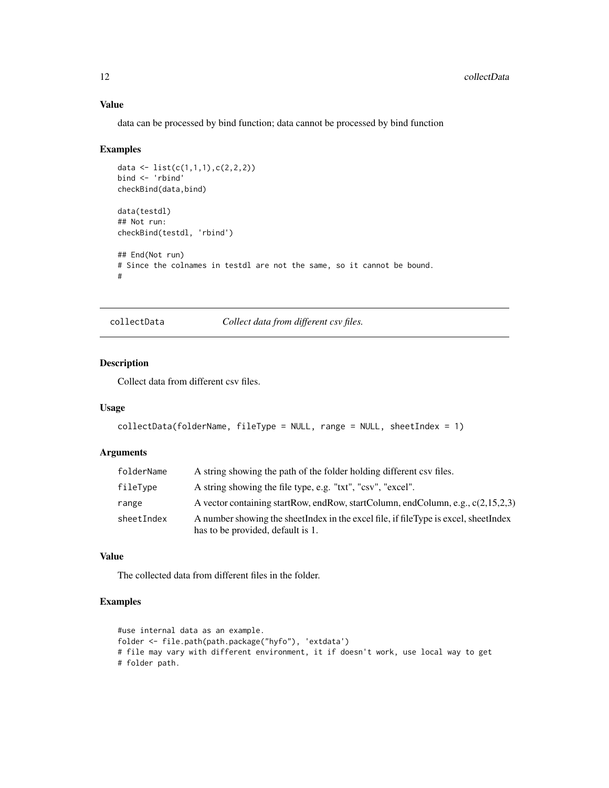### Value

data can be processed by bind function; data cannot be processed by bind function

#### Examples

```
data <- list(c(1,1,1), c(2,2,2))
bind <- 'rbind'
checkBind(data,bind)
data(testdl)
## Not run:
checkBind(testdl, 'rbind')
## End(Not run)
# Since the colnames in testdl are not the same, so it cannot be bound.
#
```
collectData *Collect data from different csv files.*

### Description

Collect data from different csv files.

### Usage

```
collectData(folderName, fileType = NULL, range = NULL, sheetIndex = 1)
```
### Arguments

| folderName | A string showing the path of the folder holding different csy files.                                                     |
|------------|--------------------------------------------------------------------------------------------------------------------------|
| fileType   | A string showing the file type, e.g. "txt", "csv", "excel".                                                              |
| range      | A vector containing startRow, endRow, startColumn, endColumn, e.g., $c(2,15,2,3)$                                        |
| sheetIndex | A number showing the sheetIndex in the excel file, if fileType is excel, sheetIndex<br>has to be provided, default is 1. |

#### Value

The collected data from different files in the folder.

### Examples

```
#use internal data as an example.
folder <- file.path(path.package("hyfo"), 'extdata')
# file may vary with different environment, it if doesn't work, use local way to get
# folder path.
```
<span id="page-11-0"></span>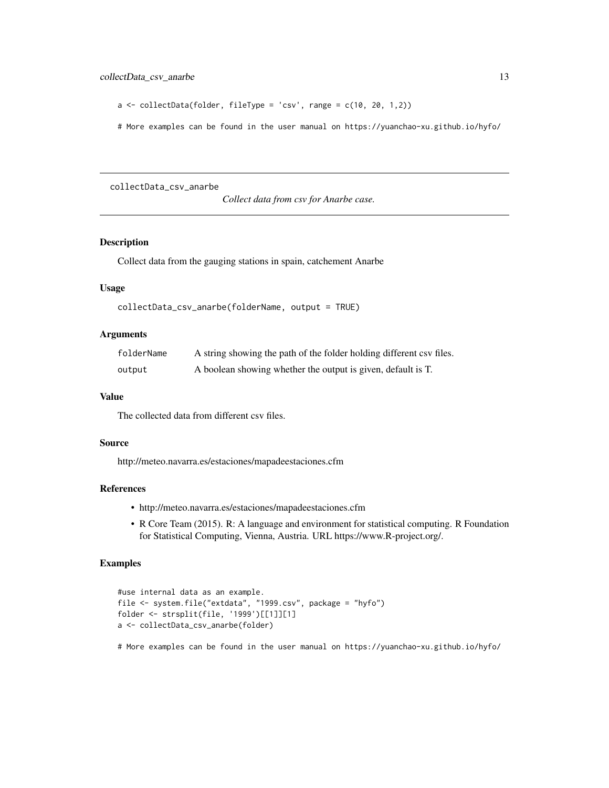```
a \leq collectData(folder, fileType = 'csv', range = c(10, 20, 1,2))
```
# More examples can be found in the user manual on https://yuanchao-xu.github.io/hyfo/

collectData\_csv\_anarbe

*Collect data from csv for Anarbe case.*

### Description

Collect data from the gauging stations in spain, catchement Anarbe

### Usage

```
collectData_csv_anarbe(folderName, output = TRUE)
```
### Arguments

| folderName | A string showing the path of the folder holding different csv files. |
|------------|----------------------------------------------------------------------|
| output     | A boolean showing whether the output is given, default is T.         |

#### Value

The collected data from different csv files.

#### Source

http://meteo.navarra.es/estaciones/mapadeestaciones.cfm

### References

- http://meteo.navarra.es/estaciones/mapadeestaciones.cfm
- R Core Team (2015). R: A language and environment for statistical computing. R Foundation for Statistical Computing, Vienna, Austria. URL https://www.R-project.org/.

### Examples

```
#use internal data as an example.
file <- system.file("extdata", "1999.csv", package = "hyfo")
folder <- strsplit(file, '1999')[[1]][1]
a <- collectData_csv_anarbe(folder)
```
# More examples can be found in the user manual on https://yuanchao-xu.github.io/hyfo/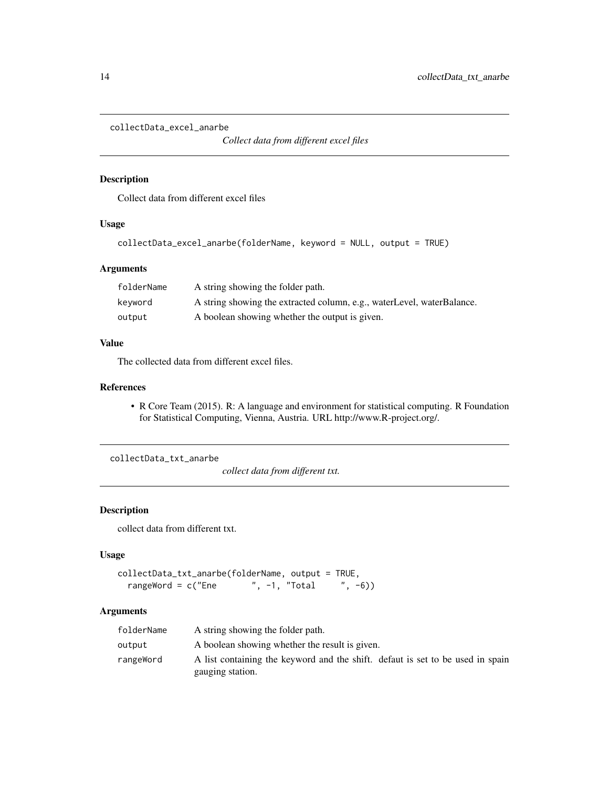```
collectData_excel_anarbe
```
*Collect data from different excel files*

### Description

Collect data from different excel files

### Usage

```
collectData_excel_anarbe(folderName, keyword = NULL, output = TRUE)
```
### Arguments

| folderName | A string showing the folder path.                                      |
|------------|------------------------------------------------------------------------|
| keyword    | A string showing the extracted column, e.g., waterLevel, waterBalance. |
| output     | A boolean showing whether the output is given.                         |

### Value

The collected data from different excel files.

#### References

• R Core Team (2015). R: A language and environment for statistical computing. R Foundation for Statistical Computing, Vienna, Austria. URL http://www.R-project.org/.

collectData\_txt\_anarbe

*collect data from different txt.*

### Description

collect data from different txt.

### Usage

```
collectData_txt_anarbe(folderName, output = TRUE,
  rangeWord = c("Ene " , -1, "Total " , -6))
```
### Arguments

| folderName | A string showing the folder path.                                                                  |
|------------|----------------------------------------------------------------------------------------------------|
| output     | A boolean showing whether the result is given.                                                     |
| rangeWord  | A list containing the keyword and the shift. defaut is set to be used in spain<br>gauging station. |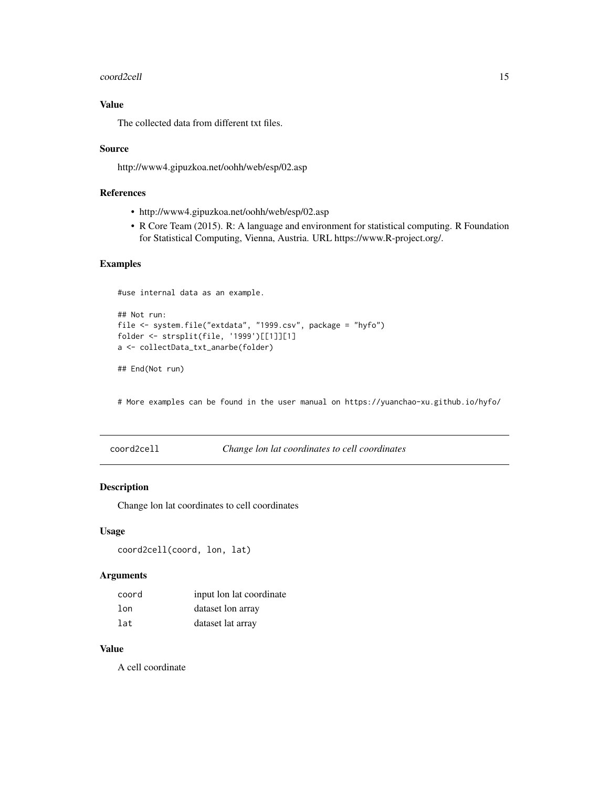#### <span id="page-14-0"></span>coord2cell and the coord of the coord of the coord and the coord of the coord of the coord of the coord of the coordinate of the coordinate of the coordinate of the coordinate of the coordinate of the coordinate of the coo

### Value

The collected data from different txt files.

#### Source

http://www4.gipuzkoa.net/oohh/web/esp/02.asp

### References

- http://www4.gipuzkoa.net/oohh/web/esp/02.asp
- R Core Team (2015). R: A language and environment for statistical computing. R Foundation for Statistical Computing, Vienna, Austria. URL https://www.R-project.org/.

### Examples

#use internal data as an example.

```
## Not run:
file <- system.file("extdata", "1999.csv", package = "hyfo")
folder <- strsplit(file, '1999')[[1]][1]
a <- collectData_txt_anarbe(folder)
```

```
## End(Not run)
```
# More examples can be found in the user manual on https://yuanchao-xu.github.io/hyfo/

coord2cell *Change lon lat coordinates to cell coordinates*

### Description

Change lon lat coordinates to cell coordinates

### Usage

```
coord2cell(coord, lon, lat)
```
### Arguments

| coord | input lon lat coordinate |
|-------|--------------------------|
| lon   | dataset lon array        |
| lat   | dataset lat array        |

#### Value

A cell coordinate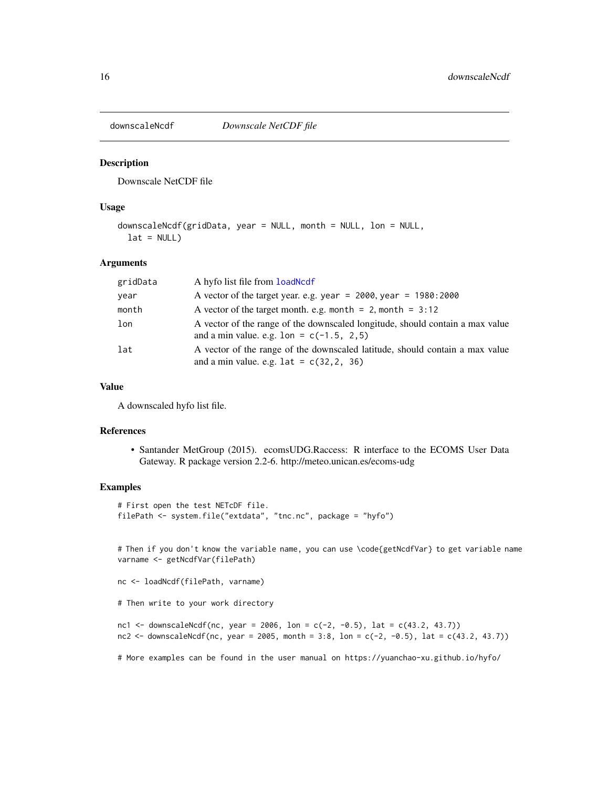<span id="page-15-0"></span>

### Description

Downscale NetCDF file

#### Usage

```
downscaleNcdf(gridData, year = NULL, month = NULL, lon = NULL,
 lat = NULL)
```
### Arguments

| gridData | A hyfo list file from load Ncd f                                                                                                              |
|----------|-----------------------------------------------------------------------------------------------------------------------------------------------|
| year     | A vector of the target year. e.g. year = 2000, year = 1980:2000                                                                               |
| month    | A vector of the target month. e.g. month = $2$ , month = $3:12$                                                                               |
| lon      | A vector of the range of the downscaled longitude, should contain a max value<br>and a min value. e.g. $1 \text{ on } = \text{ c}(-1.5, 2.5)$ |
| lat      | A vector of the range of the downscaled latitude, should contain a max value<br>and a min value. e.g. $lat = c(32, 2, 36)$                    |

### Value

A downscaled hyfo list file.

#### References

• Santander MetGroup (2015). ecomsUDG.Raccess: R interface to the ECOMS User Data Gateway. R package version 2.2-6. http://meteo.unican.es/ecoms-udg

### Examples

```
# First open the test NETcDF file.
filePath <- system.file("extdata", "tnc.nc", package = "hyfo")
```
# Then if you don't know the variable name, you can use \code{getNcdfVar} to get variable name varname <- getNcdfVar(filePath)

```
nc <- loadNcdf(filePath, varname)
```

```
# Then write to your work directory
```

```
nc1 <- downscaleNcdf(nc, year = 2006, lon = c(-2, -0.5), lat = c(43.2, 43.7))
nc2 <- downscaleNcdf(nc, year = 2005, month = 3:8, lon = c(-2, -0.5), lat = c(43.2, 43.7))
```
# More examples can be found in the user manual on https://yuanchao-xu.github.io/hyfo/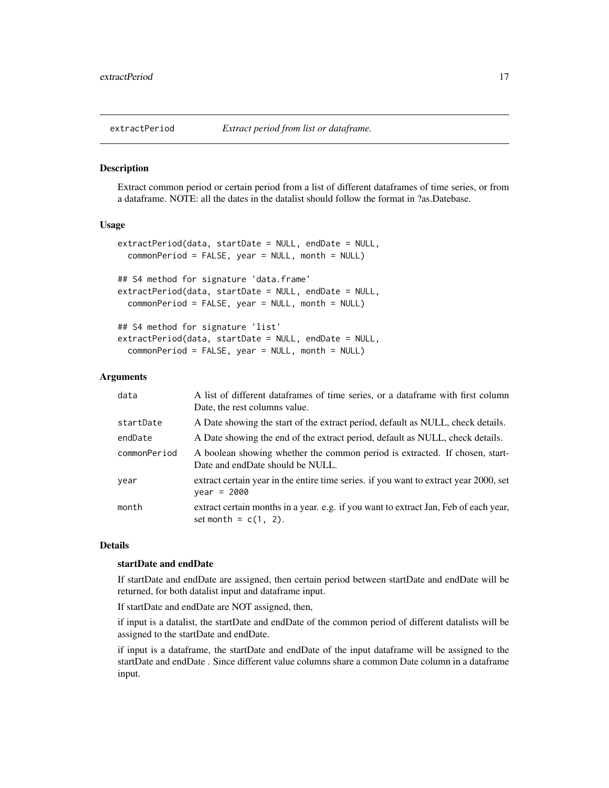<span id="page-16-0"></span>

#### Description

Extract common period or certain period from a list of different dataframes of time series, or from a dataframe. NOTE: all the dates in the datalist should follow the format in ?as.Datebase.

#### Usage

```
extractPeriod(data, startDate = NULL, endDate = NULL,
  commonPeriod = FALSE, year = NULL, month = NULL)
## S4 method for signature 'data.frame'
extractPeriod(data, startDate = NULL, endDate = NULL,
  commonPeriod = FALSE, year = NULL, month = NULL)
## S4 method for signature 'list'
extractPeriod(data, startDate = NULL, endDate = NULL,
  commonPeriod = FALSE, year = NULL, month = NULL)
```
### Arguments

| data         | A list of different dataframes of time series, or a dataframe with first column<br>Date, the rest columns value. |
|--------------|------------------------------------------------------------------------------------------------------------------|
| startDate    | A Date showing the start of the extract period, default as NULL, check details.                                  |
| endDate      | A Date showing the end of the extract period, default as NULL, check details.                                    |
| commonPeriod | A boolean showing whether the common period is extracted. If chosen, start-<br>Date and endDate should be NULL.  |
| year         | extract certain year in the entire time series. If you want to extract year 2000, set<br>$year = 2000$           |
| month        | extract certain months in a year. e.g. if you want to extract Jan, Feb of each year,<br>set month = $c(1, 2)$ .  |

### Details

### startDate and endDate

If startDate and endDate are assigned, then certain period between startDate and endDate will be returned, for both datalist input and dataframe input.

If startDate and endDate are NOT assigned, then,

if input is a datalist, the startDate and endDate of the common period of different datalists will be assigned to the startDate and endDate.

if input is a dataframe, the startDate and endDate of the input dataframe will be assigned to the startDate and endDate . Since different value columns share a common Date column in a dataframe input.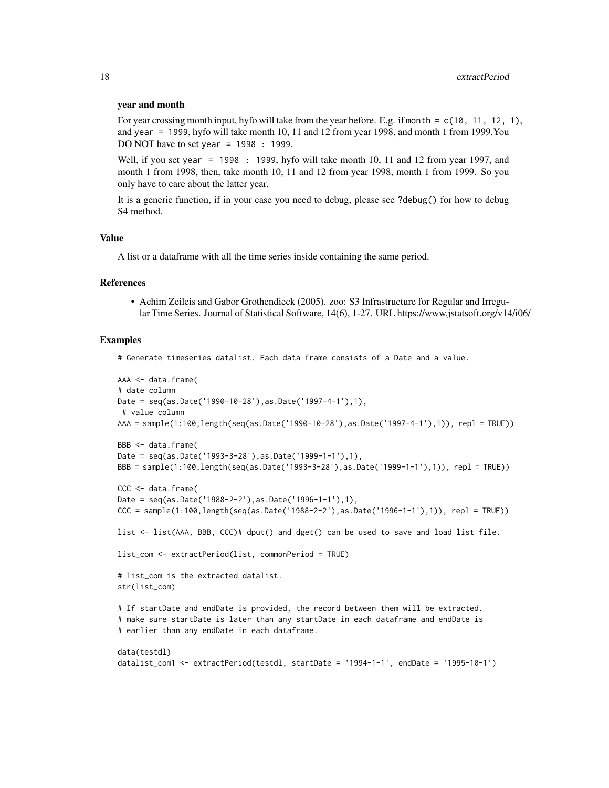#### year and month

For year crossing month input, hyfo will take from the year before. E.g. if month =  $c(10, 11, 12, 1)$ , and year = 1999, hyfo will take month 10, 11 and 12 from year 1998, and month 1 from 1999.You DO NOT have to set year = 1998 : 1999.

Well, if you set year = 1998 : 1999, hyfo will take month 10, 11 and 12 from year 1997, and month 1 from 1998, then, take month 10, 11 and 12 from year 1998, month 1 from 1999. So you only have to care about the latter year.

It is a generic function, if in your case you need to debug, please see ?debug() for how to debug S4 method.

### Value

A list or a dataframe with all the time series inside containing the same period.

#### References

• Achim Zeileis and Gabor Grothendieck (2005). zoo: S3 Infrastructure for Regular and Irregular Time Series. Journal of Statistical Software, 14(6), 1-27. URL https://www.jstatsoft.org/v14/i06/

#### Examples

# Generate timeseries datalist. Each data frame consists of a Date and a value.

```
AAA <- data.frame(
# date column
Date = seq(as.Date('1990-10-28'),as.Date('1997-4-1'),1),
# value column
AAA = sample(1:100,length(seq(as.Date('1990-10-28'),as.Date('1997-4-1'),1)), repl = TRUE))
BBB <- data.frame(
Date = seq(as.Date('1993-3-28'),as.Date('1999-1-1'),1),
BBB = sample(1:100,length(seq(as.Date('1993-3-28'),as.Date('1999-1-1'),1)), repl = TRUE))
CCC <- data.frame(
Date = seq(as.Date('1988-2-2'),as.Date('1996-1-1'),1),
CCC = sample(1:100,length(seq(as.Date('1988-2-2'),as.Date('1996-1-1'),1)), repl = TRUE))
list <- list(AAA, BBB, CCC)# dput() and dget() can be used to save and load list file.
list_com <- extractPeriod(list, commonPeriod = TRUE)
# list_com is the extracted datalist.
str(list_com)
# If startDate and endDate is provided, the record between them will be extracted.
# make sure startDate is later than any startDate in each dataframe and endDate is
# earlier than any endDate in each dataframe.
data(testdl)
datalist_com1 <- extractPeriod(testdl, startDate = '1994-1-1', endDate = '1995-10-1')
```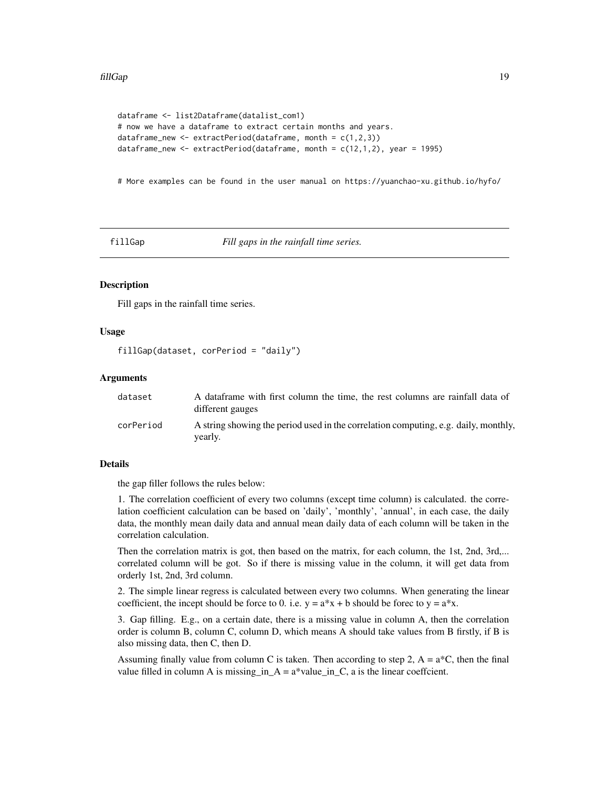```
dataframe <- list2Dataframe(datalist_com1)
# now we have a dataframe to extract certain months and years.
dataframe_new <- extractPeriod(dataframe, month = c(1,2,3))
dataframe_new <- extractPeriod(dataframe, month = c(12,1,2), year = 1995)
```
# More examples can be found in the user manual on https://yuanchao-xu.github.io/hyfo/

fillGap *Fill gaps in the rainfall time series.*

### Description

Fill gaps in the rainfall time series.

#### Usage

fillGap(dataset, corPeriod = "daily")

#### Arguments

| dataset   | A dataframe with first column the time, the rest columns are rainfall data of<br>different gauges |
|-----------|---------------------------------------------------------------------------------------------------|
| corPeriod | A string showing the period used in the correlation computing, e.g. daily, monthly,<br>yearly.    |

#### Details

the gap filler follows the rules below:

1. The correlation coefficient of every two columns (except time column) is calculated. the correlation coefficient calculation can be based on 'daily', 'monthly', 'annual', in each case, the daily data, the monthly mean daily data and annual mean daily data of each column will be taken in the correlation calculation.

Then the correlation matrix is got, then based on the matrix, for each column, the 1st, 2nd, 3rd,... correlated column will be got. So if there is missing value in the column, it will get data from orderly 1st, 2nd, 3rd column.

2. The simple linear regress is calculated between every two columns. When generating the linear coefficient, the incept should be force to 0. i.e.  $y = a^*x + b$  should be forec to  $y = a^*x$ .

3. Gap filling. E.g., on a certain date, there is a missing value in column A, then the correlation order is column B, column C, column D, which means A should take values from B firstly, if B is also missing data, then C, then D.

Assuming finally value from column C is taken. Then according to step 2,  $A = a^*C$ , then the final value filled in column A is missing\_in\_A =  $a^*$ value\_in\_C, a is the linear coeffcient.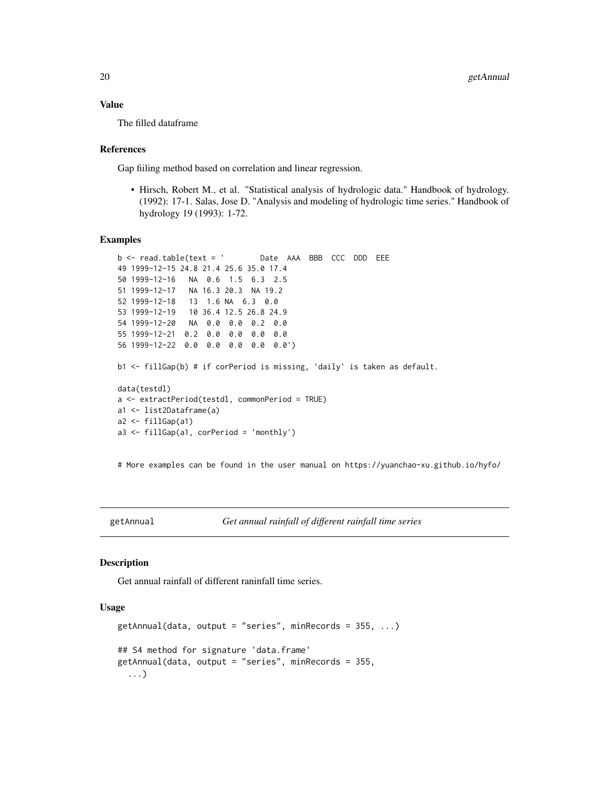#### <span id="page-19-0"></span>Value

The filled dataframe

#### References

Gap fiiling method based on correlation and linear regression.

• Hirsch, Robert M., et al. "Statistical analysis of hydrologic data." Handbook of hydrology. (1992): 17-1. Salas, Jose D. "Analysis and modeling of hydrologic time series." Handbook of hydrology 19 (1993): 1-72.

#### Examples

```
b <- read.table(text = ' Date AAA BBB CCC DDD EEE
49 1999-12-15 24.8 21.4 25.6 35.0 17.4
50 1999-12-16 NA 0.6 1.5 6.3 2.5
51 1999-12-17 NA 16.3 20.3 NA 19.2
52 1999-12-18 13 1.6 NA 6.3 0.0
53 1999-12-19 10 36.4 12.5 26.8 24.9
54 1999-12-20 NA 0.0 0.0 0.2 0.0
55 1999-12-21 0.2 0.0 0.0 0.0 0.0
56 1999-12-22 0.0 0.0 0.0 0.0 0.0')
b1 <- fillGap(b) # if corPeriod is missing, 'daily' is taken as default.
data(testdl)
a <- extractPeriod(testdl, commonPeriod = TRUE)
a1 <- list2Dataframe(a)
a2 \leftarrow \text{fillGap}(a1)a3 <- fillGap(a1, corPeriod = 'monthly')
```
# More examples can be found in the user manual on https://yuanchao-xu.github.io/hyfo/

```
getAnnual Get annual rainfall of different rainfall time series
```
#### Description

Get annual rainfall of different raninfall time series.

### Usage

```
getAnnual(data, output = "series", minRecards = 355, ...)## S4 method for signature 'data.frame'
getAnnual(data, output = "series", minRecords = 355,
  ...)
```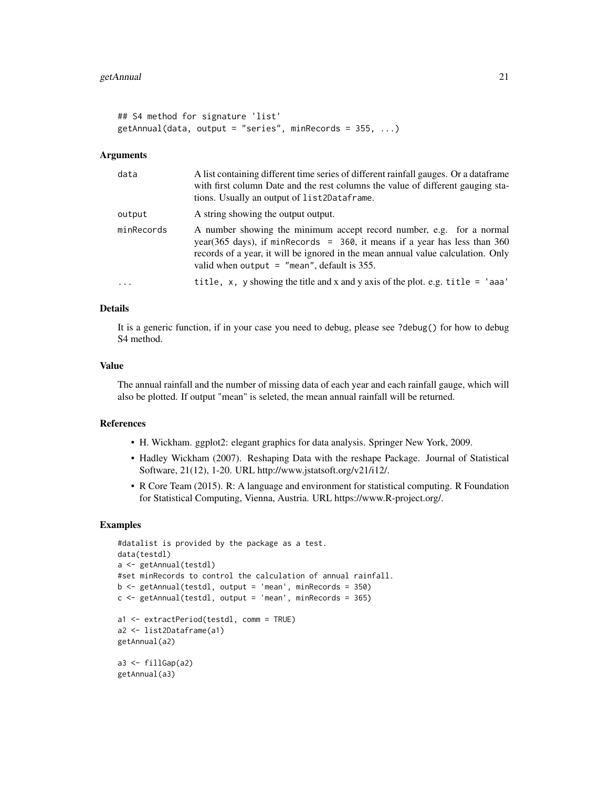```
## S4 method for signature 'list'
getAnnual(data, output = "series", minRe cords = 355, ...)
```
#### Arguments

| data       | A list containing different time series of different rainfall gauges. Or a data frame<br>with first column Date and the rest columns the value of different gauging sta-<br>tions. Usually an output of list2Dataframe.                                                                   |
|------------|-------------------------------------------------------------------------------------------------------------------------------------------------------------------------------------------------------------------------------------------------------------------------------------------|
| output     | A string showing the output output.                                                                                                                                                                                                                                                       |
| minRecords | A number showing the minimum accept record number, e.g. for a normal<br>year(365 days), if minRecords = $360$ , it means if a year has less than 360<br>records of a year, it will be ignored in the mean annual value calculation. Only<br>valid when output $=$ "mean", default is 355. |
| $\ddots$ . | title, x, y showing the title and x and y axis of the plot. e.g. title $=$ 'aaa'                                                                                                                                                                                                          |

#### Details

It is a generic function, if in your case you need to debug, please see ?debug() for how to debug S4 method.

#### Value

The annual rainfall and the number of missing data of each year and each rainfall gauge, which will also be plotted. If output "mean" is seleted, the mean annual rainfall will be returned.

### References

- H. Wickham. ggplot2: elegant graphics for data analysis. Springer New York, 2009.
- Hadley Wickham (2007). Reshaping Data with the reshape Package. Journal of Statistical Software, 21(12), 1-20. URL http://www.jstatsoft.org/v21/i12/.
- R Core Team (2015). R: A language and environment for statistical computing. R Foundation for Statistical Computing, Vienna, Austria. URL https://www.R-project.org/.

#### Examples

```
#datalist is provided by the package as a test.
data(testdl)
a <- getAnnual(testdl)
#set minRecords to control the calculation of annual rainfall.
b \leq getAnnual(testdl, output = 'mean', minRecords = 350)
c \leq getAnnual(testdl, output = 'mean', minRecords = 365)
a1 <- extractPeriod(testdl, comm = TRUE)
a2 <- list2Dataframe(a1)
getAnnual(a2)
a3 <- fillGap(a2)
getAnnual(a3)
```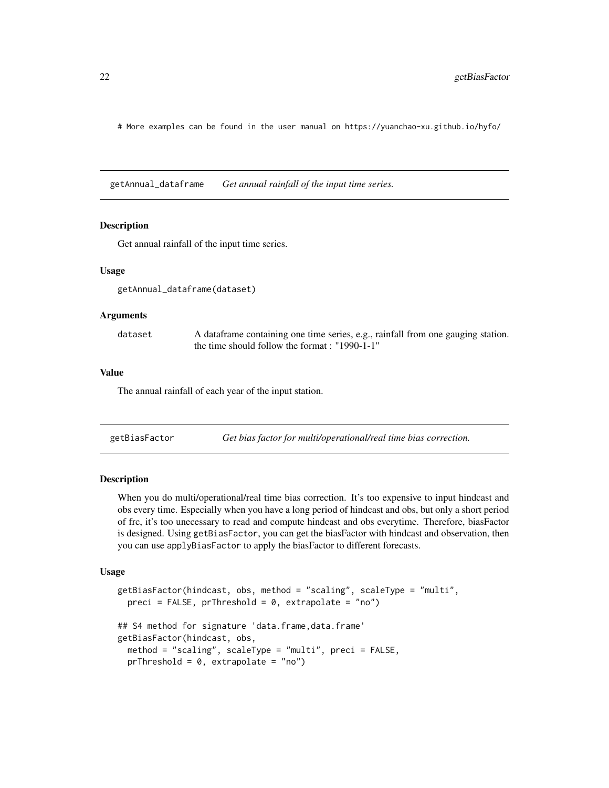# More examples can be found in the user manual on https://yuanchao-xu.github.io/hyfo/

getAnnual\_dataframe *Get annual rainfall of the input time series.*

#### Description

Get annual rainfall of the input time series.

#### Usage

getAnnual\_dataframe(dataset)

#### Arguments

dataset A dataframe containing one time series, e.g., rainfall from one gauging station. the time should follow the format : "1990-1-1"

#### Value

The annual rainfall of each year of the input station.

<span id="page-21-1"></span>getBiasFactor *Get bias factor for multi/operational/real time bias correction.*

#### Description

When you do multi/operational/real time bias correction. It's too expensive to input hindcast and obs every time. Especially when you have a long period of hindcast and obs, but only a short period of frc, it's too unecessary to read and compute hindcast and obs everytime. Therefore, biasFactor is designed. Using getBiasFactor, you can get the biasFactor with hindcast and observation, then you can use applyBiasFactor to apply the biasFactor to different forecasts.

#### Usage

```
getBiasFactor(hindcast, obs, method = "scaling", scaleType = "multi",
 preci = FALSE, prThreshold = 0, extrapolate = "no")## S4 method for signature 'data.frame,data.frame'
getBiasFactor(hindcast, obs,
 method = "scaling", scaleType = "multi", preci = FALSE,
 prThreshold = 0, extrapolate = "no")
```
<span id="page-21-0"></span>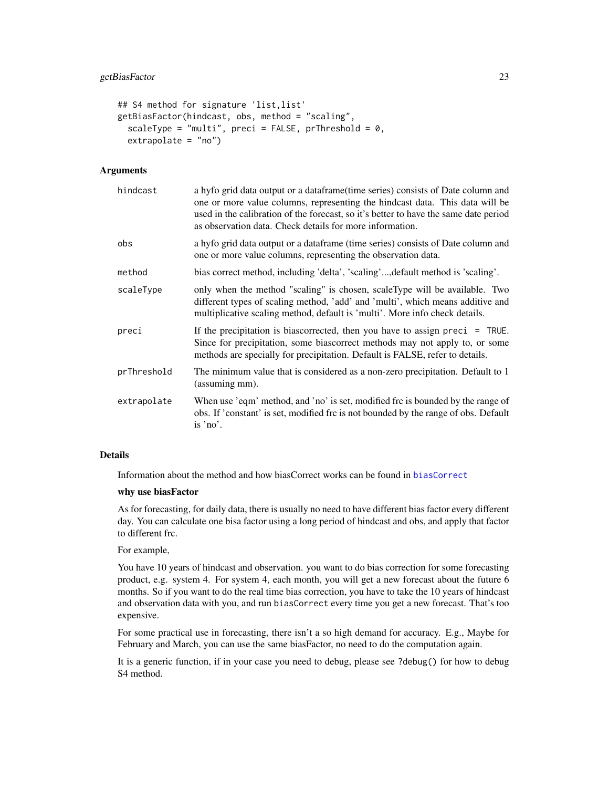```
## S4 method for signature 'list,list'
getBiasFactor(hindcast, obs, method = "scaling",
  scaleType = "multi", preci = FALSE, prThreshold = 0,
 extrapolate = "no")
```
#### Arguments

| hindcast    | a hyfo grid data output or a dataframe (time series) consists of Date column and<br>one or more value columns, representing the hindcast data. This data will be<br>used in the calibration of the forecast, so it's better to have the same date period<br>as observation data. Check details for more information. |
|-------------|----------------------------------------------------------------------------------------------------------------------------------------------------------------------------------------------------------------------------------------------------------------------------------------------------------------------|
| obs         | a hyfo grid data output or a dataframe (time series) consists of Date column and<br>one or more value columns, representing the observation data.                                                                                                                                                                    |
| method      | bias correct method, including 'delta', 'scaling', default method is 'scaling'.                                                                                                                                                                                                                                      |
| scaleType   | only when the method "scaling" is chosen, scaleType will be available. Two<br>different types of scaling method, 'add' and 'multi', which means additive and<br>multiplicative scaling method, default is 'multi'. More info check details.                                                                          |
| preci       | If the precipitation is biascorrected, then you have to assign preci $=$ TRUE.<br>Since for precipitation, some biascorrect methods may not apply to, or some<br>methods are specially for precipitation. Default is FALSE, refer to details.                                                                        |
| prThreshold | The minimum value that is considered as a non-zero precipitation. Default to 1<br>(assuming mm).                                                                                                                                                                                                                     |
| extrapolate | When use 'eqm' method, and 'no' is set, modified frc is bounded by the range of<br>obs. If 'constant' is set, modified frc is not bounded by the range of obs. Default<br>is 'no'.                                                                                                                                   |

### Details

Information about the method and how biasCorrect works can be found in [biasCorrect](#page-5-1)

### why use biasFactor

As for forecasting, for daily data, there is usually no need to have different bias factor every different day. You can calculate one bisa factor using a long period of hindcast and obs, and apply that factor to different frc.

For example,

You have 10 years of hindcast and observation. you want to do bias correction for some forecasting product, e.g. system 4. For system 4, each month, you will get a new forecast about the future 6 months. So if you want to do the real time bias correction, you have to take the 10 years of hindcast and observation data with you, and run biasCorrect every time you get a new forecast. That's too expensive.

For some practical use in forecasting, there isn't a so high demand for accuracy. E.g., Maybe for February and March, you can use the same biasFactor, no need to do the computation again.

It is a generic function, if in your case you need to debug, please see ?debug() for how to debug S4 method.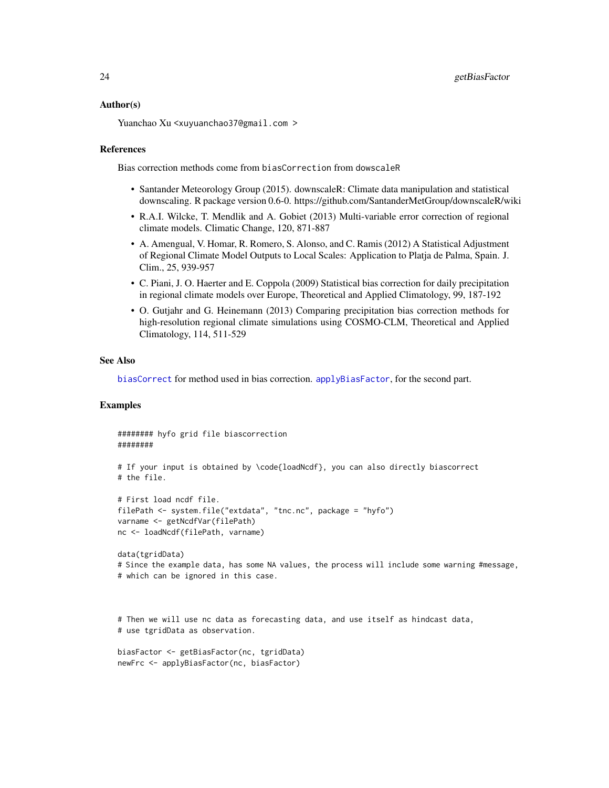#### <span id="page-23-0"></span>Author(s)

Yuanchao Xu <xuyuanchao37@gmail.com >

#### References

Bias correction methods come from biasCorrection from dowscaleR

- Santander Meteorology Group (2015). downscaleR: Climate data manipulation and statistical downscaling. R package version 0.6-0. https://github.com/SantanderMetGroup/downscaleR/wiki
- R.A.I. Wilcke, T. Mendlik and A. Gobiet (2013) Multi-variable error correction of regional climate models. Climatic Change, 120, 871-887
- A. Amengual, V. Homar, R. Romero, S. Alonso, and C. Ramis (2012) A Statistical Adjustment of Regional Climate Model Outputs to Local Scales: Application to Platja de Palma, Spain. J. Clim., 25, 939-957
- C. Piani, J. O. Haerter and E. Coppola (2009) Statistical bias correction for daily precipitation in regional climate models over Europe, Theoretical and Applied Climatology, 99, 187-192
- O. Gutjahr and G. Heinemann (2013) Comparing precipitation bias correction methods for high-resolution regional climate simulations using COSMO-CLM, Theoretical and Applied Climatology, 114, 511-529

#### See Also

[biasCorrect](#page-5-1) for method used in bias correction. [applyBiasFactor](#page-2-1), for the second part.

### Examples

```
######## hyfo grid file biascorrection
########
# If your input is obtained by \code{loadNcdf}, you can also directly biascorrect
# the file.
# First load ncdf file.
filePath <- system.file("extdata", "tnc.nc", package = "hyfo")
varname <- getNcdfVar(filePath)
nc <- loadNcdf(filePath, varname)
data(tgridData)
# Since the example data, has some NA values, the process will include some warning #message,
# which can be ignored in this case.
# Then we will use nc data as forecasting data, and use itself as hindcast data,
# use tgridData as observation.
biasFactor <- getBiasFactor(nc, tgridData)
newFrc <- applyBiasFactor(nc, biasFactor)
```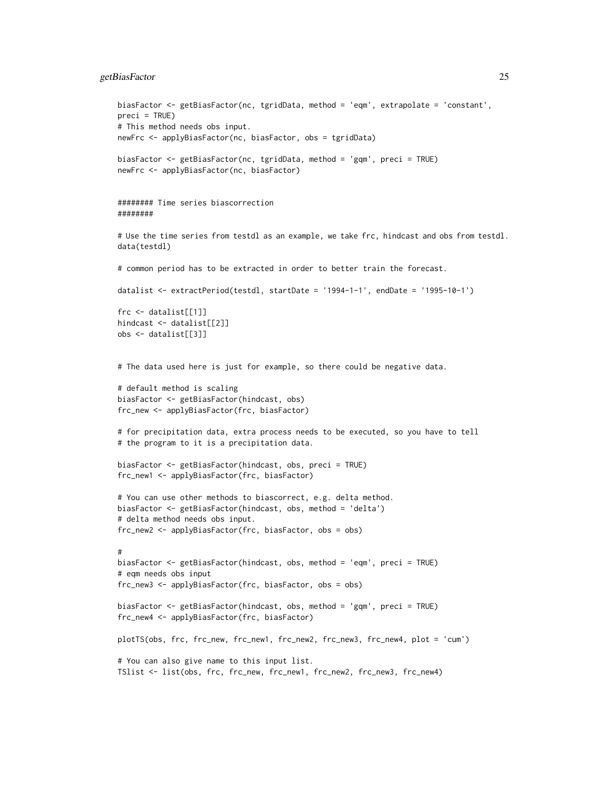#### getBiasFactor 25

```
biasFactor <- getBiasFactor(nc, tgridData, method = 'eqm', extrapolate = 'constant',
preci = TRUE)
# This method needs obs input.
newFrc <- applyBiasFactor(nc, biasFactor, obs = tgridData)
biasFactor <- getBiasFactor(nc, tgridData, method = 'gqm', preci = TRUE)
newFrc <- applyBiasFactor(nc, biasFactor)
######## Time series biascorrection
########
# Use the time series from testdl as an example, we take frc, hindcast and obs from testdl.
data(testdl)
# common period has to be extracted in order to better train the forecast.
datalist <- extractPeriod(testdl, startDate = '1994-1-1', endDate = '1995-10-1')
frc <- datalist[[1]]
hindcast <- datalist[[2]]
obs <- datalist[[3]]
# The data used here is just for example, so there could be negative data.
# default method is scaling
biasFactor <- getBiasFactor(hindcast, obs)
frc_new <- applyBiasFactor(frc, biasFactor)
# for precipitation data, extra process needs to be executed, so you have to tell
# the program to it is a precipitation data.
biasFactor <- getBiasFactor(hindcast, obs, preci = TRUE)
frc_new1 <- applyBiasFactor(frc, biasFactor)
# You can use other methods to biascorrect, e.g. delta method.
biasFactor <- getBiasFactor(hindcast, obs, method = 'delta')
# delta method needs obs input.
frc_new2 <- applyBiasFactor(frc, biasFactor, obs = obs)
#
biasFactor <- getBiasFactor(hindcast, obs, method = 'eqm', preci = TRUE)
# eqm needs obs input
frc_new3 <- applyBiasFactor(frc, biasFactor, obs = obs)
biasFactor <- getBiasFactor(hindcast, obs, method = 'gqm', preci = TRUE)
frc_new4 <- applyBiasFactor(frc, biasFactor)
plotTS(obs, frc, frc_new, frc_new1, frc_new2, frc_new3, frc_new4, plot = 'cum')
# You can also give name to this input list.
TSlist <- list(obs, frc, frc_new, frc_new1, frc_new2, frc_new3, frc_new4)
```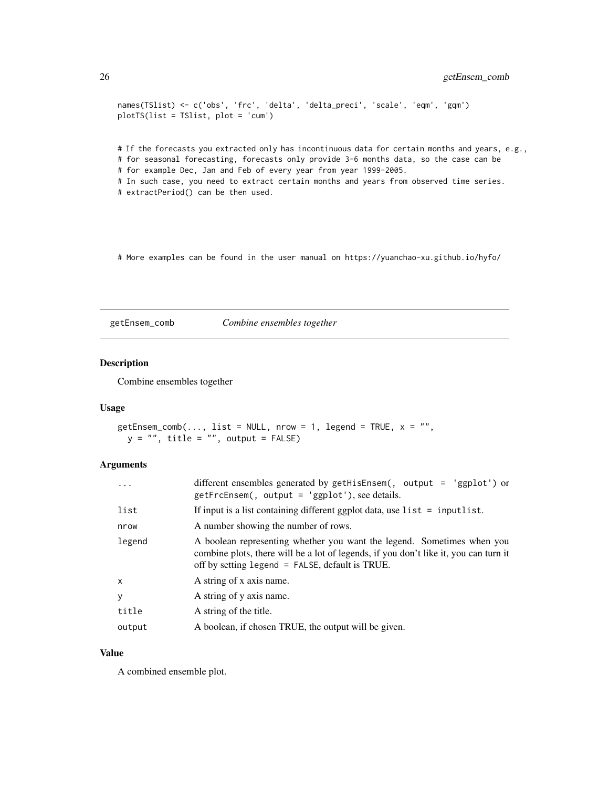```
names(TSlist) <- c('obs', 'frc', 'delta', 'delta_preci', 'scale', 'eqm', 'gqm')
plotTS(list = TSlist, plot = 'cum')
```
# If the forecasts you extracted only has incontinuous data for certain months and years, e.g., # for seasonal forecasting, forecasts only provide 3-6 months data, so the case can be

# for example Dec, Jan and Feb of every year from year 1999-2005.

# In such case, you need to extract certain months and years from observed time series.

# extractPeriod() can be then used.

# More examples can be found in the user manual on https://yuanchao-xu.github.io/hyfo/

getEnsem\_comb *Combine ensembles together*

### Description

Combine ensembles together

### Usage

```
getEnsem\_comb(..., list = NULL, nrow = 1, legend = TRUE, x = "",y = "", title = "", output = FALSE)
```
#### Arguments

| $\ddots$ .   | different ensembles generated by getHisEnsem(, output = 'ggplot') or<br>$getFrcEnsem$ , output = 'ggplot'), see details.                                                                                             |
|--------------|----------------------------------------------------------------------------------------------------------------------------------------------------------------------------------------------------------------------|
| list         | If input is a list containing different ggplot data, use $list = inputlist$ .                                                                                                                                        |
| nrow         | A number showing the number of rows.                                                                                                                                                                                 |
| legend       | A boolean representing whether you want the legend. Sometimes when you<br>combine plots, there will be a lot of legends, if you don't like it, you can turn it<br>off by setting $legend = FALSE$ , default is TRUE. |
| $\mathsf{x}$ | A string of x axis name.                                                                                                                                                                                             |
| <b>y</b>     | A string of y axis name.                                                                                                                                                                                             |
| title        | A string of the title.                                                                                                                                                                                               |
| output       | A boolean, if chosen TRUE, the output will be given.                                                                                                                                                                 |

### Value

A combined ensemble plot.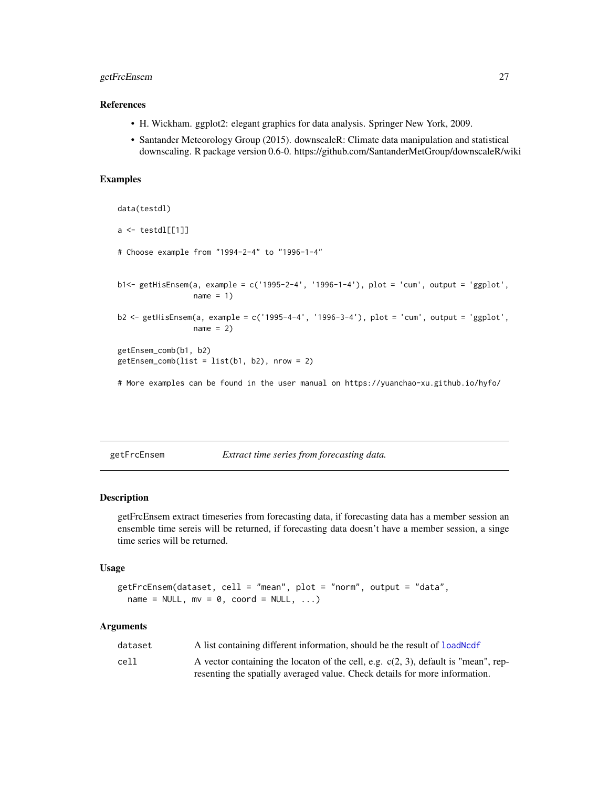### <span id="page-26-0"></span>getFrcEnsem 27

#### References

- H. Wickham. ggplot2: elegant graphics for data analysis. Springer New York, 2009.
- Santander Meteorology Group (2015). downscaleR: Climate data manipulation and statistical downscaling. R package version 0.6-0. https://github.com/SantanderMetGroup/downscaleR/wiki

#### Examples

```
data(testdl)
a \leftarrow \text{testdl}[[1]]# Choose example from "1994-2-4" to "1996-1-4"
b1<- getHisEnsem(a, example = c('1995-2-4', '1996-1-4'), plot = 'cum', output = 'ggplot',
                 name = 1)b2 <- getHisEnsem(a, example = c('1995-4-4', '1996-3-4'), plot = 'cum', output = 'ggplot',
                 name = 2)getEnsem_comb(b1, b2)
getEnsem_comb(list = list(b1, b2), nrow = 2)
# More examples can be found in the user manual on https://yuanchao-xu.github.io/hyfo/
```
getFrcEnsem *Extract time series from forecasting data.*

### Description

getFrcEnsem extract timeseries from forecasting data, if forecasting data has a member session an ensemble time sereis will be returned, if forecasting data doesn't have a member session, a singe time series will be returned.

### Usage

```
getFrcEnsem(dataset, cell = "mean", plot = "norm", output = "data",
 name = NULL, mv = 0, coord = NULL, ...)
```
#### Arguments

| dataset | A list containing different information, should be the result of <b>loadNcdf</b>      |
|---------|---------------------------------------------------------------------------------------|
| cell    | A vector containing the locaton of the cell, e.g. $c(2, 3)$ , default is "mean", rep- |
|         | resenting the spatially averaged value. Check details for more information.           |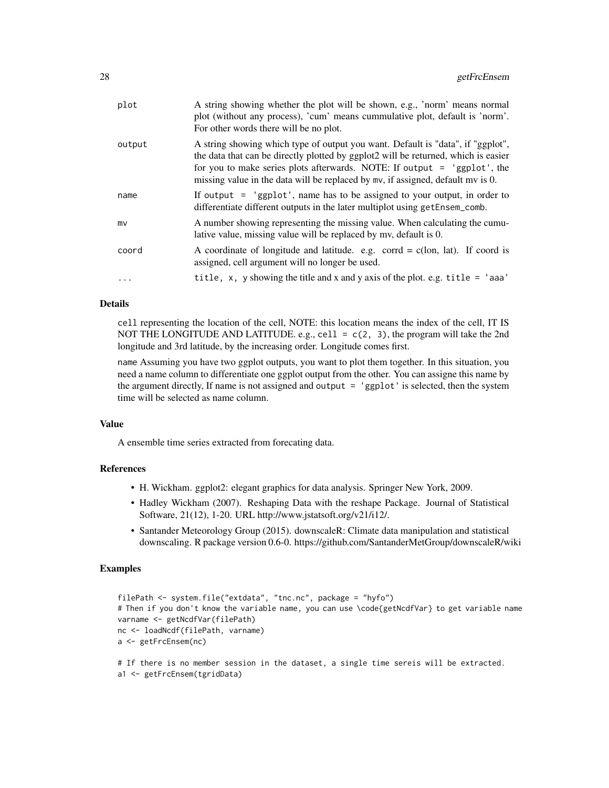| plot   | A string showing whether the plot will be shown, e.g., 'norm' means normal<br>plot (without any process), 'cum' means cummulative plot, default is 'norm'.<br>For other words there will be no plot.                                                                                                                                 |
|--------|--------------------------------------------------------------------------------------------------------------------------------------------------------------------------------------------------------------------------------------------------------------------------------------------------------------------------------------|
| output | A string showing which type of output you want. Default is "data", if "ggplot",<br>the data that can be directly plotted by ggplot2 will be returned, which is easier<br>for you to make series plots afterwards. NOTE: If output = 'ggplot', the<br>missing value in the data will be replaced by mv, if assigned, default mv is 0. |
| name   | If output $=$ 'ggplot', name has to be assigned to your output, in order to<br>differentiate different outputs in the later multiplot using get Ensem_comb.                                                                                                                                                                          |
| mv     | A number showing representing the missing value. When calculating the cumu-<br>lative value, missing value will be replaced by my, default is 0.                                                                                                                                                                                     |
| coord  | A coordinate of longitude and latitude. e.g. corrd = $c$ (lon, lat). If coord is<br>assigned, cell argument will no longer be used.                                                                                                                                                                                                  |
| .      | title, x, y showing the title and x and y axis of the plot. e.g. title $=$ 'aaa'                                                                                                                                                                                                                                                     |

#### Details

cell representing the location of the cell, NOTE: this location means the index of the cell, IT IS NOT THE LONGITUDE AND LATITUDE. e.g., cell =  $c(2, 3)$ , the program will take the 2nd longitude and 3rd latitude, by the increasing order. Longitude comes first.

name Assuming you have two ggplot outputs, you want to plot them together. In this situation, you need a name column to differentiate one ggplot output from the other. You can assigne this name by the argument directly, If name is not assigned and output = 'ggplot' is selected, then the system time will be selected as name column.

#### Value

A ensemble time series extracted from forecating data.

### References

- H. Wickham. ggplot2: elegant graphics for data analysis. Springer New York, 2009.
- Hadley Wickham (2007). Reshaping Data with the reshape Package. Journal of Statistical Software, 21(12), 1-20. URL http://www.jstatsoft.org/v21/i12/.
- Santander Meteorology Group (2015). downscaleR: Climate data manipulation and statistical downscaling. R package version 0.6-0. https://github.com/SantanderMetGroup/downscaleR/wiki

#### Examples

```
filePath <- system.file("extdata", "tnc.nc", package = "hyfo")
# Then if you don't know the variable name, you can use \code{getNcdfVar} to get variable name
varname <- getNcdfVar(filePath)
nc <- loadNcdf(filePath, varname)
a <- getFrcEnsem(nc)
# If there is no member session in the dataset, a single time sereis will be extracted.
```

```
a1 <- getFrcEnsem(tgridData)
```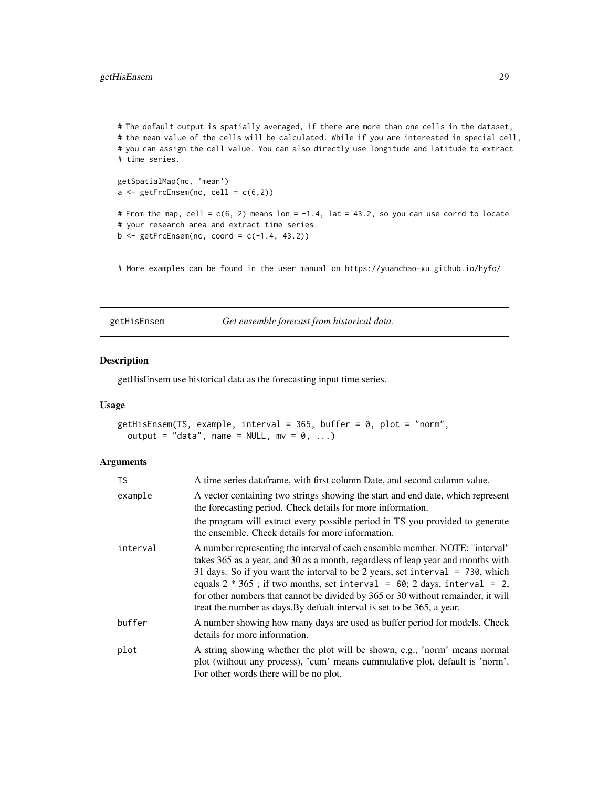<span id="page-28-0"></span># The default output is spatially averaged, if there are more than one cells in the dataset, # the mean value of the cells will be calculated. While if you are interested in special cell, # you can assign the cell value. You can also directly use longitude and latitude to extract # time series. getSpatialMap(nc, 'mean')  $a \leftarrow getFrcEnsem(nc, cell = c(6, 2))$ # From the map, cell =  $c(6, 2)$  means lon = -1.4, lat = 43.2, so you can use corrd to locate # your research area and extract time series.

 $b \leq$  getFrcEnsem(nc, coord = c(-1.4, 43.2))

# More examples can be found in the user manual on https://yuanchao-xu.github.io/hyfo/

getHisEnsem *Get ensemble forecast from historical data.*

### Description

getHisEnsem use historical data as the forecasting input time series.

### Usage

```
getHisEnsem(TS, example, interval = 365, buffer = 0, plot = "norm",
 output = "data", name = NULL, mv = 0, ...)
```
#### **Arguments**

| <b>TS</b> | A time series dataframe, with first column Date, and second column value.                                                                                                                                                                                                                                                                                                                                                                                                                        |
|-----------|--------------------------------------------------------------------------------------------------------------------------------------------------------------------------------------------------------------------------------------------------------------------------------------------------------------------------------------------------------------------------------------------------------------------------------------------------------------------------------------------------|
| example   | A vector containing two strings showing the start and end date, which represent<br>the forecasting period. Check details for more information.                                                                                                                                                                                                                                                                                                                                                   |
|           | the program will extract every possible period in TS you provided to generate<br>the ensemble. Check details for more information.                                                                                                                                                                                                                                                                                                                                                               |
| interval  | A number representing the interval of each ensemble member. NOTE: "interval"<br>takes 365 as a year, and 30 as a month, regardless of leap year and months with<br>31 days. So if you want the interval to be 2 years, set interval = $730$ , which<br>equals $2 * 365$ ; if two months, set interval = 60; 2 days, interval = 2,<br>for other numbers that cannot be divided by 365 or 30 without remainder, it will<br>treat the number as days. By defualt interval is set to be 365, a year. |
| buffer    | A number showing how many days are used as buffer period for models. Check<br>details for more information.                                                                                                                                                                                                                                                                                                                                                                                      |
| plot      | A string showing whether the plot will be shown, e.g., 'norm' means normal<br>plot (without any process), 'cum' means cummulative plot, default is 'norm'.<br>For other words there will be no plot.                                                                                                                                                                                                                                                                                             |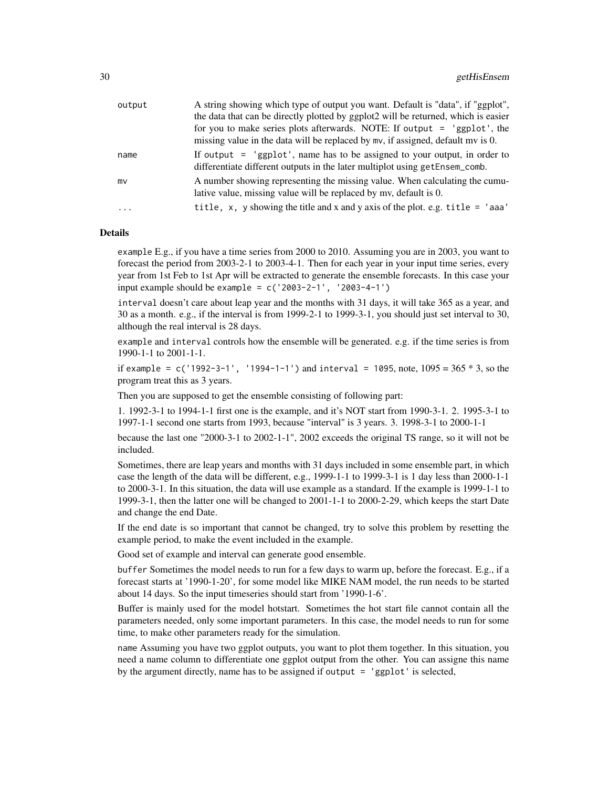| output | A string showing which type of output you want. Default is "data", if "ggplot",    |
|--------|------------------------------------------------------------------------------------|
|        | the data that can be directly plotted by ggplot2 will be returned, which is easier |
|        | for you to make series plots afterwards. NOTE: If output = 'ggplot', the           |
|        | missing value in the data will be replaced by mv, if assigned, default mv is 0.    |
| name   | If output $=$ 'ggplot', name has to be assigned to your output, in order to        |
|        | differentiate different outputs in the later multiplot using getEnsem_comb.        |
| mv     | A number showing representing the missing value. When calculating the cumu-        |
|        | lative value, missing value will be replaced by my, default is 0.                  |
| .      | title, x, y showing the title and x and y axis of the plot. e.g. title $=$ 'aaa'   |
|        |                                                                                    |

#### Details

example E.g., if you have a time series from 2000 to 2010. Assuming you are in 2003, you want to forecast the period from 2003-2-1 to 2003-4-1. Then for each year in your input time series, every year from 1st Feb to 1st Apr will be extracted to generate the ensemble forecasts. In this case your input example should be example =  $c('2003-2-1', '2003-4-1')$ 

interval doesn't care about leap year and the months with 31 days, it will take 365 as a year, and 30 as a month. e.g., if the interval is from 1999-2-1 to 1999-3-1, you should just set interval to 30, although the real interval is 28 days.

example and interval controls how the ensemble will be generated. e.g. if the time series is from 1990-1-1 to 2001-1-1.

if example =  $c('1992-3-1', '1994-1-1')$  and interval = 1095, note,  $1095 = 365 * 3$ , so the program treat this as 3 years.

Then you are supposed to get the ensemble consisting of following part:

1. 1992-3-1 to 1994-1-1 first one is the example, and it's NOT start from 1990-3-1. 2. 1995-3-1 to 1997-1-1 second one starts from 1993, because "interval" is 3 years. 3. 1998-3-1 to 2000-1-1

because the last one "2000-3-1 to 2002-1-1", 2002 exceeds the original TS range, so it will not be included.

Sometimes, there are leap years and months with 31 days included in some ensemble part, in which case the length of the data will be different, e.g., 1999-1-1 to 1999-3-1 is 1 day less than 2000-1-1 to 2000-3-1. In this situation, the data will use example as a standard. If the example is 1999-1-1 to 1999-3-1, then the latter one will be changed to 2001-1-1 to 2000-2-29, which keeps the start Date and change the end Date.

If the end date is so important that cannot be changed, try to solve this problem by resetting the example period, to make the event included in the example.

Good set of example and interval can generate good ensemble.

buffer Sometimes the model needs to run for a few days to warm up, before the forecast. E.g., if a forecast starts at '1990-1-20', for some model like MIKE NAM model, the run needs to be started about 14 days. So the input timeseries should start from '1990-1-6'.

Buffer is mainly used for the model hotstart. Sometimes the hot start file cannot contain all the parameters needed, only some important parameters. In this case, the model needs to run for some time, to make other parameters ready for the simulation.

name Assuming you have two ggplot outputs, you want to plot them together. In this situation, you need a name column to differentiate one ggplot output from the other. You can assigne this name by the argument directly, name has to be assigned if output = 'ggplot' is selected,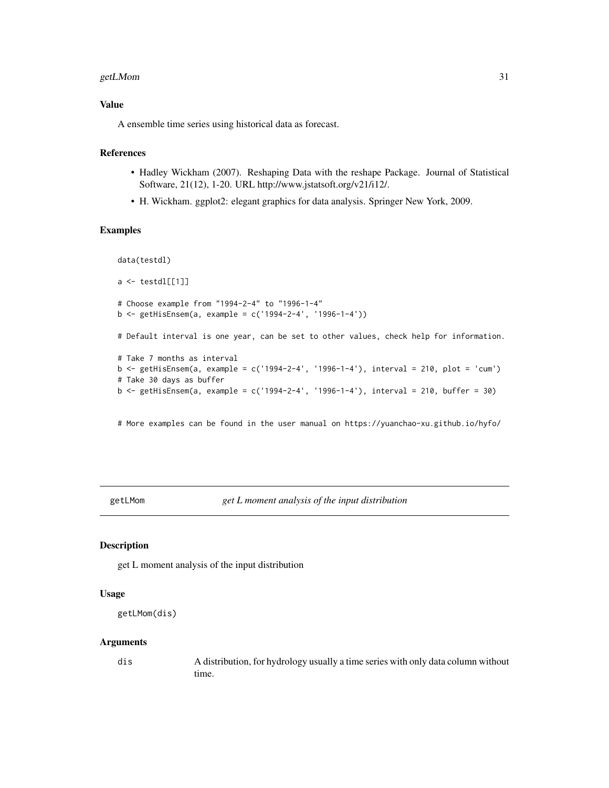#### <span id="page-30-0"></span>getLMom 31

### Value

A ensemble time series using historical data as forecast.

### References

- Hadley Wickham (2007). Reshaping Data with the reshape Package. Journal of Statistical Software, 21(12), 1-20. URL http://www.jstatsoft.org/v21/i12/.
- H. Wickham. ggplot2: elegant graphics for data analysis. Springer New York, 2009.

### Examples

```
data(testdl)
a \leftarrow \text{testdl}[[1]]
# Choose example from "1994-2-4" to "1996-1-4"
b <- getHisEnsem(a, example = c('1994-2-4', '1996-1-4'))
# Default interval is one year, can be set to other values, check help for information.
# Take 7 months as interval
b <- getHisEnsem(a, example = c('1994-2-4', '1996-1-4'), interval = 210, plot = 'cum')
# Take 30 days as buffer
b <- getHisEnsem(a, example = c('1994-2-4', '1996-1-4'), interval = 210, buffer = 30)
```
# More examples can be found in the user manual on https://yuanchao-xu.github.io/hyfo/

getLMom *get L moment analysis of the input distribution*

#### Description

get L moment analysis of the input distribution

#### Usage

```
getLMom(dis)
```
#### Arguments

dis A distribution, for hydrology usually a time series with only data column without time.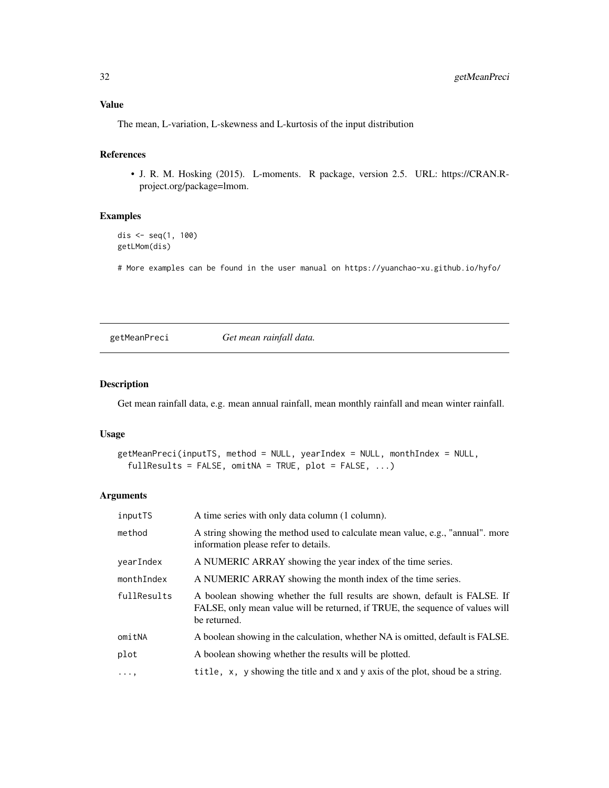### <span id="page-31-0"></span>Value

The mean, L-variation, L-skewness and L-kurtosis of the input distribution

### References

• J. R. M. Hosking (2015). L-moments. R package, version 2.5. URL: https://CRAN.Rproject.org/package=lmom.

### Examples

```
dis <- seq(1, 100)
getLMom(dis)
```
# More examples can be found in the user manual on https://yuanchao-xu.github.io/hyfo/

getMeanPreci *Get mean rainfall data.*

### Description

Get mean rainfall data, e.g. mean annual rainfall, mean monthly rainfall and mean winter rainfall.

#### Usage

```
getMeanPreci(inputTS, method = NULL, yearIndex = NULL, monthIndex = NULL,
  fullResults = FALSE, omitNA = TRUE, plot = FALSE, \ldots)
```
#### Arguments

| inputTS     | A time series with only data column (1 column).                                                                                                                             |
|-------------|-----------------------------------------------------------------------------------------------------------------------------------------------------------------------------|
| method      | A string showing the method used to calculate mean value, e.g., "annual". more<br>information please refer to details.                                                      |
| vearIndex   | A NUMERIC ARRAY showing the year index of the time series.                                                                                                                  |
| monthIndex  | A NUMERIC ARRAY showing the month index of the time series.                                                                                                                 |
| fullResults | A boolean showing whether the full results are shown, default is FALSE. If<br>FALSE, only mean value will be returned, if TRUE, the sequence of values will<br>be returned. |
| omitNA      | A boolean showing in the calculation, whether NA is omitted, default is FALSE.                                                                                              |
| plot        | A boolean showing whether the results will be plotted.                                                                                                                      |
| $\cdots$ ,  | title, x, y showing the title and x and y axis of the plot, shoud be a string.                                                                                              |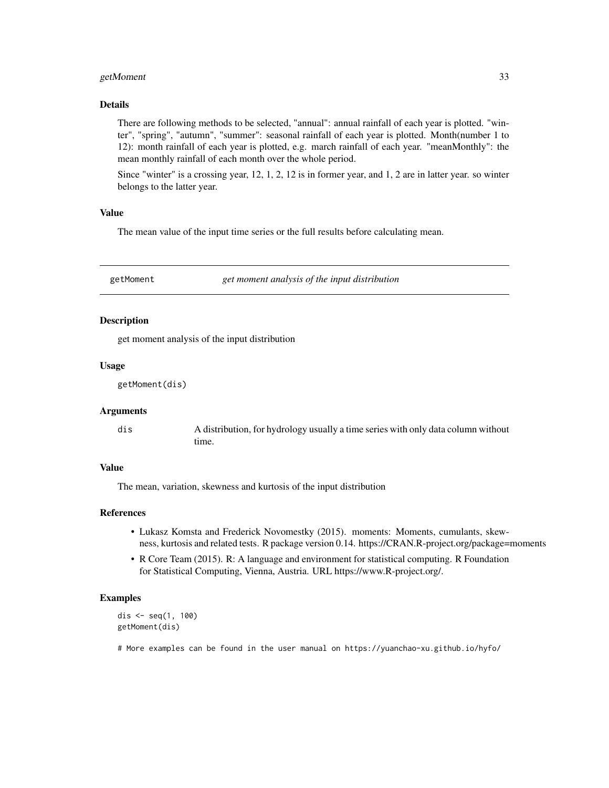### <span id="page-32-0"></span>getMoment 33

### Details

There are following methods to be selected, "annual": annual rainfall of each year is plotted. "winter", "spring", "autumn", "summer": seasonal rainfall of each year is plotted. Month(number 1 to 12): month rainfall of each year is plotted, e.g. march rainfall of each year. "meanMonthly": the mean monthly rainfall of each month over the whole period.

Since "winter" is a crossing year, 12, 1, 2, 12 is in former year, and 1, 2 are in latter year. so winter belongs to the latter year.

### Value

The mean value of the input time series or the full results before calculating mean.

getMoment *get moment analysis of the input distribution*

#### Description

get moment analysis of the input distribution

#### Usage

```
getMoment(dis)
```
#### Arguments

dis A distribution, for hydrology usually a time series with only data column without time.

### Value

The mean, variation, skewness and kurtosis of the input distribution

#### References

- Lukasz Komsta and Frederick Novomestky (2015). moments: Moments, cumulants, skewness, kurtosis and related tests. R package version 0.14. https://CRAN.R-project.org/package=moments
- R Core Team (2015). R: A language and environment for statistical computing. R Foundation for Statistical Computing, Vienna, Austria. URL https://www.R-project.org/.

### Examples

```
dis <- seq(1, 100)
getMoment(dis)
```
# More examples can be found in the user manual on https://yuanchao-xu.github.io/hyfo/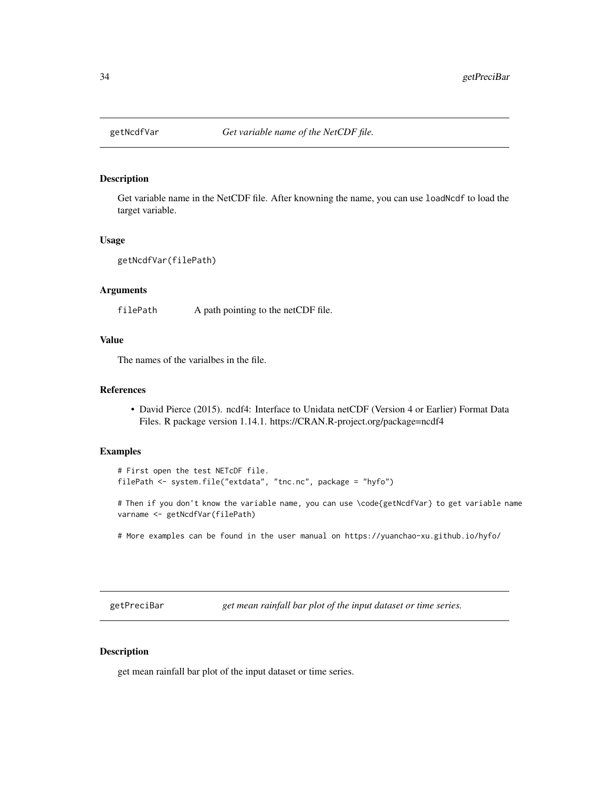<span id="page-33-0"></span>

### Description

Get variable name in the NetCDF file. After knowning the name, you can use loadNcdf to load the target variable.

### Usage

```
getNcdfVar(filePath)
```
### Arguments

filePath A path pointing to the netCDF file.

### Value

The names of the varialbes in the file.

#### References

• David Pierce (2015). ncdf4: Interface to Unidata netCDF (Version 4 or Earlier) Format Data Files. R package version 1.14.1. https://CRAN.R-project.org/package=ncdf4

#### Examples

```
# First open the test NETcDF file.
filePath <- system.file("extdata", "tnc.nc", package = "hyfo")
```
# Then if you don't know the variable name, you can use \code{getNcdfVar} to get variable name varname <- getNcdfVar(filePath)

# More examples can be found in the user manual on https://yuanchao-xu.github.io/hyfo/

getPreciBar *get mean rainfall bar plot of the input dataset or time series.*

### Description

get mean rainfall bar plot of the input dataset or time series.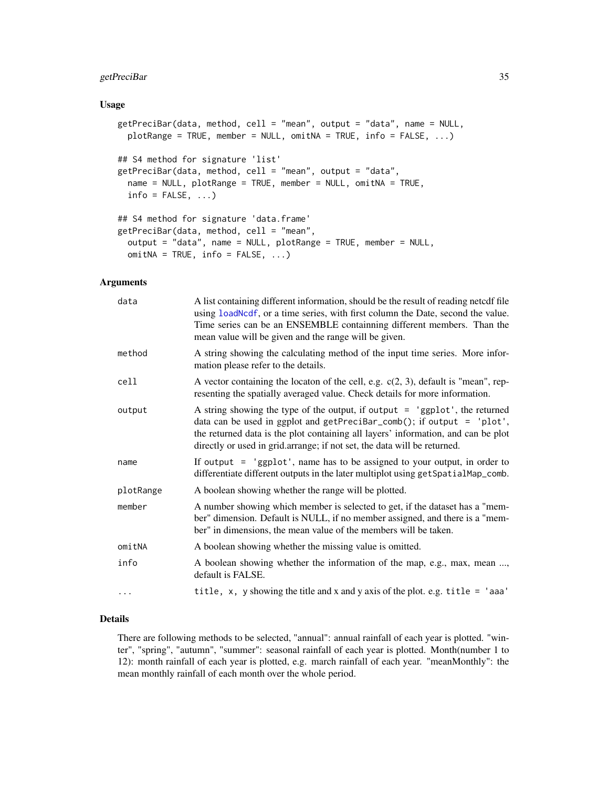### <span id="page-34-0"></span>getPreciBar 35

#### Usage

```
getPreciBar(data, method, cell = "mean", output = "data", name = NULL,
 plotRange = TRUE, member = NULL, omitNA = TRUE, info = FALSE, ...)
## S4 method for signature 'list'
getPreciBar(data, method, cell = "mean", output = "data",
  name = NULL, plotRange = TRUE, member = NULL, omitNA = TRUE,
  info = FALSE, ...)## S4 method for signature 'data.frame'
getPreciBar(data, method, cell = "mean",
  output = "data", name = NULL, plotRange = TRUE, member = NULL,
 omithA = TRUE, info = FALSE, ...)
```
### Arguments

| A list containing different information, should be the result of reading netcdf file<br>using loadNcdf, or a time series, with first column the Date, second the value.<br>Time series can be an ENSEMBLE containning different members. Than the<br>mean value will be given and the range will be given.               |
|--------------------------------------------------------------------------------------------------------------------------------------------------------------------------------------------------------------------------------------------------------------------------------------------------------------------------|
| A string showing the calculating method of the input time series. More infor-<br>mation please refer to the details.                                                                                                                                                                                                     |
| A vector containing the locaton of the cell, e.g. $c(2, 3)$ , default is "mean", rep-<br>resenting the spatially averaged value. Check details for more information.                                                                                                                                                     |
| A string showing the type of the output, if output $=$ 'ggplot', the returned<br>data can be used in ggplot and getPreciBar_comb(); if output = 'plot',<br>the returned data is the plot containing all layers' information, and can be plot<br>directly or used in grid.arrange; if not set, the data will be returned. |
| If output $=$ 'ggplot', name has to be assigned to your output, in order to<br>differentiate different outputs in the later multiplot using getSpatialMap_comb.                                                                                                                                                          |
| A boolean showing whether the range will be plotted.                                                                                                                                                                                                                                                                     |
| A number showing which member is selected to get, if the dataset has a "mem-<br>ber" dimension. Default is NULL, if no member assigned, and there is a "mem-<br>ber" in dimensions, the mean value of the members will be taken.                                                                                         |
| A boolean showing whether the missing value is omitted.                                                                                                                                                                                                                                                                  |
| A boolean showing whether the information of the map, e.g., max, mean ,<br>default is FALSE.                                                                                                                                                                                                                             |
| title, $x$ , $y$ showing the title and $x$ and $y$ axis of the plot. e.g. title = 'aaa'                                                                                                                                                                                                                                  |
|                                                                                                                                                                                                                                                                                                                          |

### Details

There are following methods to be selected, "annual": annual rainfall of each year is plotted. "winter", "spring", "autumn", "summer": seasonal rainfall of each year is plotted. Month(number 1 to 12): month rainfall of each year is plotted, e.g. march rainfall of each year. "meanMonthly": the mean monthly rainfall of each month over the whole period.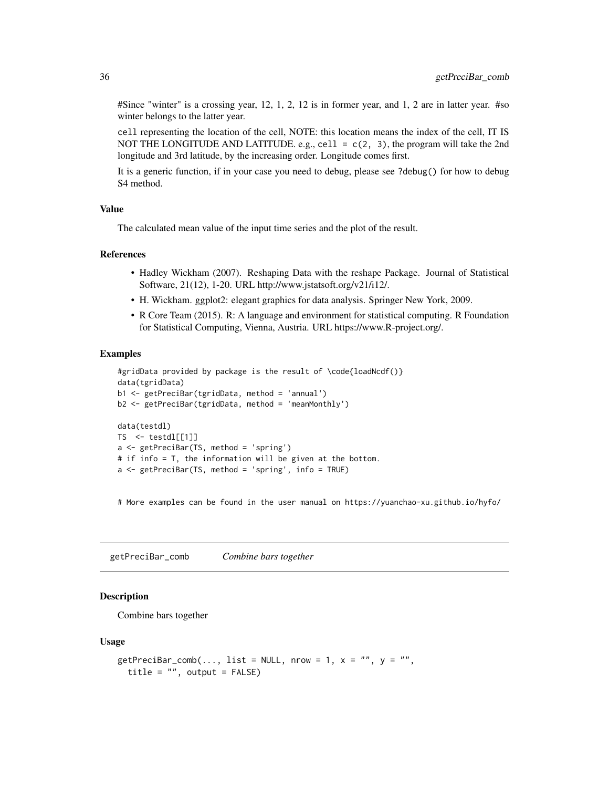#Since "winter" is a crossing year, 12, 1, 2, 12 is in former year, and 1, 2 are in latter year. #so winter belongs to the latter year.

cell representing the location of the cell, NOTE: this location means the index of the cell, IT IS NOT THE LONGITUDE AND LATITUDE. e.g., cell =  $c(2, 3)$ , the program will take the 2nd longitude and 3rd latitude, by the increasing order. Longitude comes first.

It is a generic function, if in your case you need to debug, please see ?debug() for how to debug S4 method.

#### Value

The calculated mean value of the input time series and the plot of the result.

#### References

- Hadley Wickham (2007). Reshaping Data with the reshape Package. Journal of Statistical Software, 21(12), 1-20. URL http://www.jstatsoft.org/v21/i12/.
- H. Wickham. ggplot2: elegant graphics for data analysis. Springer New York, 2009.
- R Core Team (2015). R: A language and environment for statistical computing. R Foundation for Statistical Computing, Vienna, Austria. URL https://www.R-project.org/.

#### Examples

```
#gridData provided by package is the result of \code{loadNcdf()}
data(tgridData)
b1 <- getPreciBar(tgridData, method = 'annual')
b2 <- getPreciBar(tgridData, method = 'meanMonthly')
data(testdl)
TS \leftarrow \text{testdl}[[1]]a <- getPreciBar(TS, method = 'spring')
# if info = T, the information will be given at the bottom.
a \leq getPreciBar(TS, method = 'spring', info = TRUE)
```
# More examples can be found in the user manual on https://yuanchao-xu.github.io/hyfo/

getPreciBar\_comb *Combine bars together*

### Description

Combine bars together

#### Usage

```
getPreciBar\_comb(..., list = NULL, nrow = 1, x = "", y = "",title = "", output = FALSE)
```
<span id="page-35-0"></span>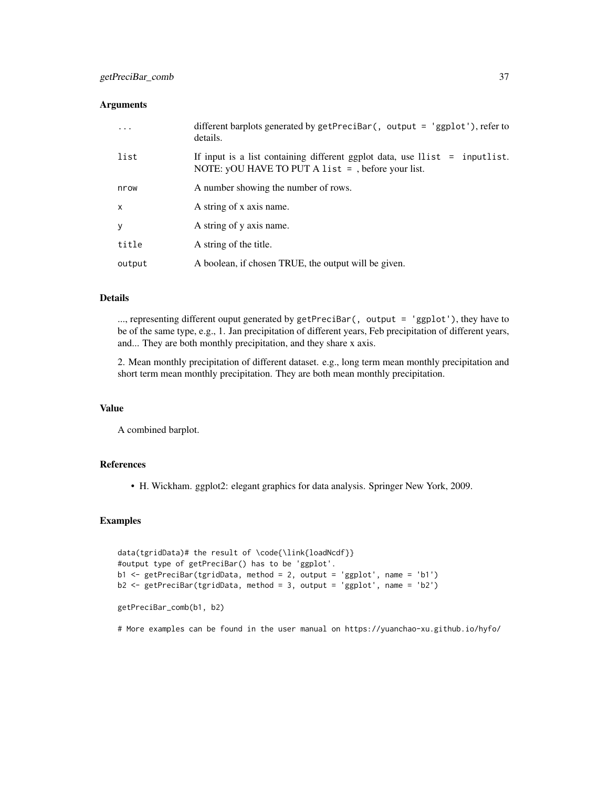#### **Arguments**

| $\cdot$ $\cdot$ $\cdot$ | different barplots generated by getPreciBar(, output = 'ggplot'), refer to<br>details.                                               |
|-------------------------|--------------------------------------------------------------------------------------------------------------------------------------|
| list                    | If input is a list containing different ggplot data, use $llist = inputlist$ .<br>NOTE: yOU HAVE TO PUT A list = , before your list. |
| nrow                    | A number showing the number of rows.                                                                                                 |
| x                       | A string of x axis name.                                                                                                             |
| у                       | A string of y axis name.                                                                                                             |
| title                   | A string of the title.                                                                                                               |
| output                  | A boolean, if chosen TRUE, the output will be given.                                                                                 |

#### Details

..., representing different ouput generated by getPreciBar(, output = 'ggplot'), they have to be of the same type, e.g., 1. Jan precipitation of different years, Feb precipitation of different years, and... They are both monthly precipitation, and they share x axis.

2. Mean monthly precipitation of different dataset. e.g., long term mean monthly precipitation and short term mean monthly precipitation. They are both mean monthly precipitation.

### Value

A combined barplot.

### References

• H. Wickham. ggplot2: elegant graphics for data analysis. Springer New York, 2009.

### Examples

```
data(tgridData)# the result of \code{\link{loadNcdf}}
#output type of getPreciBar() has to be 'ggplot'.
b1 <- getPreciBar(tgridData, method = 2, output = 'ggplot', name = 'b1')
b2 <- getPreciBar(tgridData, method = 3, output = 'ggplot', name = 'b2')
getPreciBar_comb(b1, b2)
```
# More examples can be found in the user manual on https://yuanchao-xu.github.io/hyfo/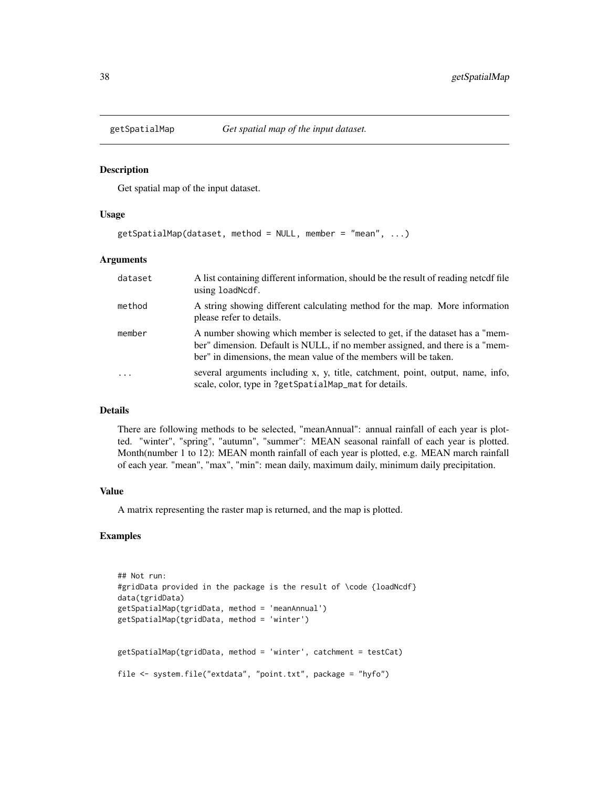<span id="page-37-0"></span>

#### Description

Get spatial map of the input dataset.

#### Usage

getSpatialMap(dataset, method = NULL, member = "mean", ...)

#### Arguments

| dataset | A list containing different information, should be the result of reading netcdf file<br>using load Ncdf.                                                                                                                         |
|---------|----------------------------------------------------------------------------------------------------------------------------------------------------------------------------------------------------------------------------------|
| method  | A string showing different calculating method for the map. More information<br>please refer to details.                                                                                                                          |
| member  | A number showing which member is selected to get, if the dataset has a "mem-<br>ber" dimension. Default is NULL, if no member assigned, and there is a "mem-<br>ber" in dimensions, the mean value of the members will be taken. |
| .       | several arguments including x, y, title, catchment, point, output, name, info,<br>scale, color, type in ?getSpatialMap_mat for details.                                                                                          |

#### Details

There are following methods to be selected, "meanAnnual": annual rainfall of each year is plotted. "winter", "spring", "autumn", "summer": MEAN seasonal rainfall of each year is plotted. Month(number 1 to 12): MEAN month rainfall of each year is plotted, e.g. MEAN march rainfall of each year. "mean", "max", "min": mean daily, maximum daily, minimum daily precipitation.

### Value

A matrix representing the raster map is returned, and the map is plotted.

### Examples

```
## Not run:
#gridData provided in the package is the result of \code {loadNcdf}
data(tgridData)
getSpatialMap(tgridData, method = 'meanAnnual')
getSpatialMap(tgridData, method = 'winter')
getSpatialMap(tgridData, method = 'winter', catchment = testCat)
file <- system.file("extdata", "point.txt", package = "hyfo")
```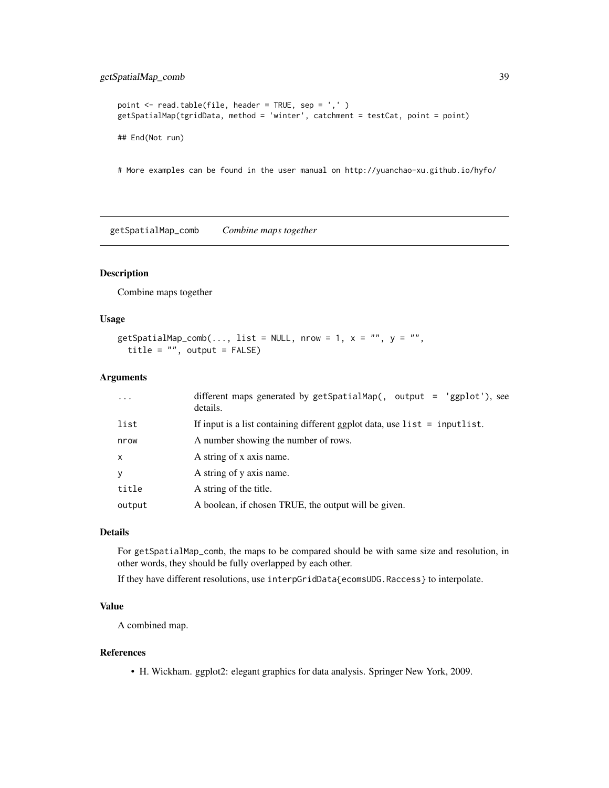### <span id="page-38-0"></span>getSpatialMap\_comb 39

```
point <- read.table(file, header = TRUE, sep = ',' )
getSpatialMap(tgridData, method = 'winter', catchment = testCat, point = point)
## End(Not run)
```
# More examples can be found in the user manual on http://yuanchao-xu.github.io/hyfo/

getSpatialMap\_comb *Combine maps together*

### Description

Combine maps together

### Usage

```
getSpatialMap_comb(..., list = NULL, nrow = 1, x = "", y = "",title = ", output = FALSE)
```
### Arguments

| $\cdot$      | different maps generated by getSpatialMap(, output = 'ggplot'), see<br>details. |
|--------------|---------------------------------------------------------------------------------|
| list         | If input is a list containing different ggplot data, use $list = inputlist$ .   |
| nrow         | A number showing the number of rows.                                            |
| $\mathsf{x}$ | A string of x axis name.                                                        |
| y            | A string of y axis name.                                                        |
| title        | A string of the title.                                                          |
| output       | A boolean, if chosen TRUE, the output will be given.                            |

### Details

For getSpatialMap\_comb, the maps to be compared should be with same size and resolution, in other words, they should be fully overlapped by each other.

If they have different resolutions, use interpGridData{ecomsUDG.Raccess} to interpolate.

### Value

A combined map.

#### References

• H. Wickham. ggplot2: elegant graphics for data analysis. Springer New York, 2009.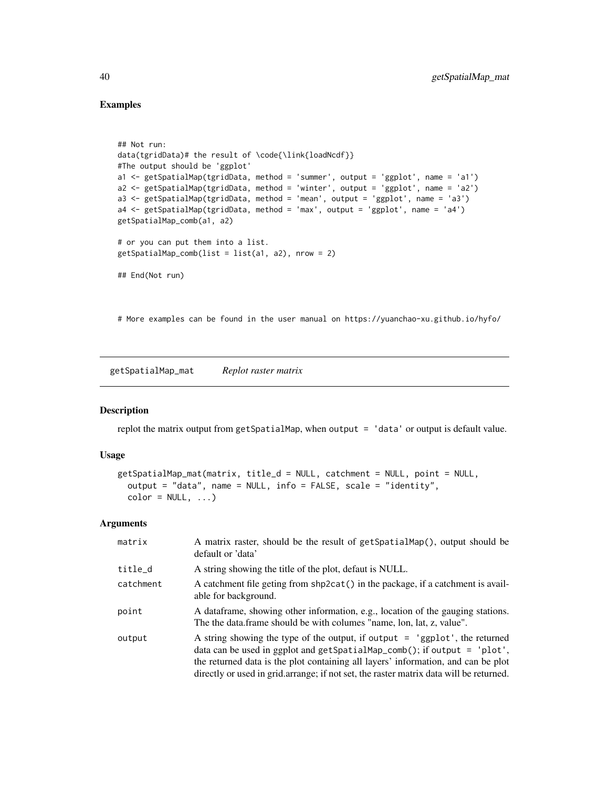### Examples

```
## Not run:
data(tgridData)# the result of \code{\link{loadNcdf}}
#The output should be 'ggplot'
a1 <- getSpatialMap(tgridData, method = 'summer', output = 'ggplot', name = 'a1')
a2 <- getSpatialMap(tgridData, method = 'winter', output = 'ggplot', name = 'a2')
a3 <- getSpatialMap(tgridData, method = 'mean', output = 'ggplot', name = 'a3')
a4 <- getSpatialMap(tgridData, method = 'max', output = 'ggplot', name = 'a4')
getSpatialMap_comb(a1, a2)
# or you can put them into a list.
getSpatialMap\_comb(list = list(a1, a2), nrow = 2)## End(Not run)
```
# More examples can be found in the user manual on https://yuanchao-xu.github.io/hyfo/

getSpatialMap\_mat *Replot raster matrix*

### Description

replot the matrix output from getSpatialMap, when output = 'data' or output is default value.

#### Usage

```
getSpatialMap_mat(matrix, title_d = NULL, catchment = NULL, point = NULL,
  output = "data", name = NULL, info = FALSE, scale = "identity",
  color = NULL, ...)
```
#### Arguments

| matrix    | A matrix raster, should be the result of getSpatialMap(), output should be<br>default or 'data'                                                                                                                                                                                                                                              |
|-----------|----------------------------------------------------------------------------------------------------------------------------------------------------------------------------------------------------------------------------------------------------------------------------------------------------------------------------------------------|
| title_d   | A string showing the title of the plot, defaut is NULL.                                                                                                                                                                                                                                                                                      |
| catchment | A catchment file geting from shp2cat() in the package, if a catchment is avail-<br>able for background.                                                                                                                                                                                                                                      |
| point     | A data frame, showing other information, e.g., location of the gauging stations.<br>The the data frame should be with columes "name, lon, lat, z, value".                                                                                                                                                                                    |
| output    | A string showing the type of the output, if output $=$ 'ggplot', the returned<br>data can be used in ggplot and $getSpatialMap\_comb()$ ; if output = 'plot',<br>the returned data is the plot containing all layers' information, and can be plot<br>directly or used in grid.arrange; if not set, the raster matrix data will be returned. |

<span id="page-39-0"></span>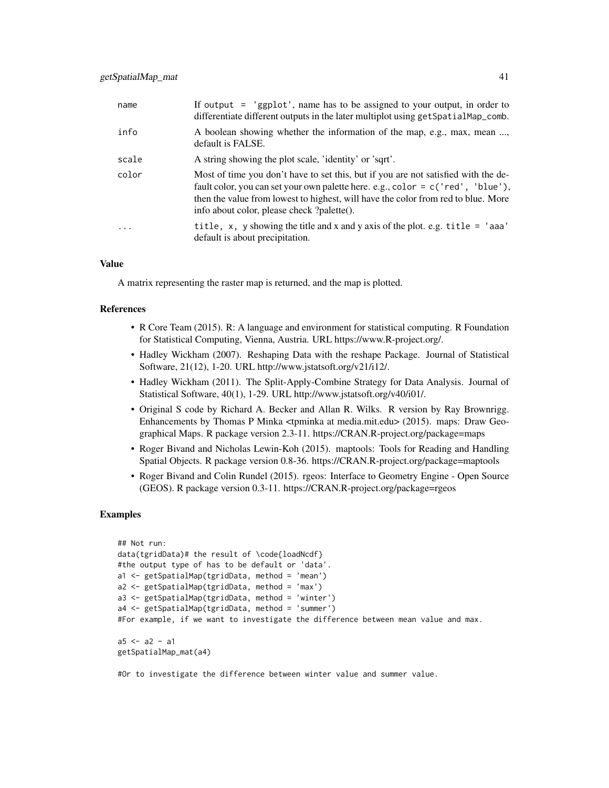| name    | If output $=$ 'ggplot', name has to be assigned to your output, in order to<br>differentiate different outputs in the later multiplot using get SpatialMap_comb.                                                                                                                                         |
|---------|----------------------------------------------------------------------------------------------------------------------------------------------------------------------------------------------------------------------------------------------------------------------------------------------------------|
| info    | A boolean showing whether the information of the map, e.g., max, mean ,<br>default is FALSE.                                                                                                                                                                                                             |
| scale   | A string showing the plot scale, 'identity' or 'sqrt'.                                                                                                                                                                                                                                                   |
| color   | Most of time you don't have to set this, but if you are not satisfied with the de-<br>fault color, you can set your own palette here. e.g., color = c('red', 'blue'),<br>then the value from lowest to highest, will have the color from red to blue. More<br>info about color, please check ?palette(). |
| $\cdot$ | title, $x$ , $y$ showing the title and $x$ and $y$ axis of the plot. e.g. title = 'aaa'<br>default is about precipitation.                                                                                                                                                                               |

### Value

A matrix representing the raster map is returned, and the map is plotted.

#### References

- R Core Team (2015). R: A language and environment for statistical computing. R Foundation for Statistical Computing, Vienna, Austria. URL https://www.R-project.org/.
- Hadley Wickham (2007). Reshaping Data with the reshape Package. Journal of Statistical Software, 21(12), 1-20. URL http://www.jstatsoft.org/v21/i12/.
- Hadley Wickham (2011). The Split-Apply-Combine Strategy for Data Analysis. Journal of Statistical Software, 40(1), 1-29. URL http://www.jstatsoft.org/v40/i01/.
- Original S code by Richard A. Becker and Allan R. Wilks. R version by Ray Brownrigg. Enhancements by Thomas P Minka <tpminka at media.mit.edu> (2015). maps: Draw Geographical Maps. R package version 2.3-11. https://CRAN.R-project.org/package=maps
- Roger Bivand and Nicholas Lewin-Koh (2015). maptools: Tools for Reading and Handling Spatial Objects. R package version 0.8-36. https://CRAN.R-project.org/package=maptools
- Roger Bivand and Colin Rundel (2015). rgeos: Interface to Geometry Engine Open Source (GEOS). R package version 0.3-11. https://CRAN.R-project.org/package=rgeos

### Examples

```
## Not run:
data(tgridData)# the result of \code{loadNcdf}
#the output type of has to be default or 'data'.
a1 <- getSpatialMap(tgridData, method = 'mean')
a2 <- getSpatialMap(tgridData, method = 'max')
a3 <- getSpatialMap(tgridData, method = 'winter')
a4 <- getSpatialMap(tgridData, method = 'summer')
#For example, if we want to investigate the difference between mean value and max.
a5 < -a2 - a1getSpatialMap_mat(a4)
```
#Or to investigate the difference between winter value and summer value.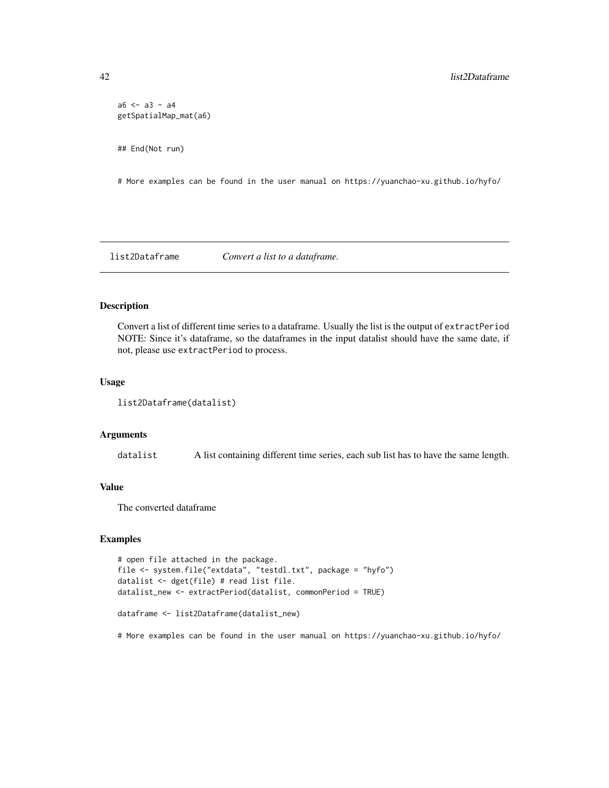```
a6 < -a3 - a4getSpatialMap_mat(a6)
## End(Not run)
```
# More examples can be found in the user manual on https://yuanchao-xu.github.io/hyfo/

list2Dataframe *Convert a list to a dataframe.*

### Description

Convert a list of different time series to a dataframe. Usually the list is the output of extractPeriod NOTE: Since it's dataframe, so the dataframes in the input datalist should have the same date, if not, please use extractPeriod to process.

#### Usage

list2Dataframe(datalist)

#### Arguments

datalist A list containing different time series, each sub list has to have the same length.

## Value

The converted dataframe

### Examples

```
# open file attached in the package.
file <- system.file("extdata", "testdl.txt", package = "hyfo")
datalist <- dget(file) # read list file.
datalist_new <- extractPeriod(datalist, commonPeriod = TRUE)
dataframe <- list2Dataframe(datalist_new)
```
# More examples can be found in the user manual on https://yuanchao-xu.github.io/hyfo/

<span id="page-41-0"></span>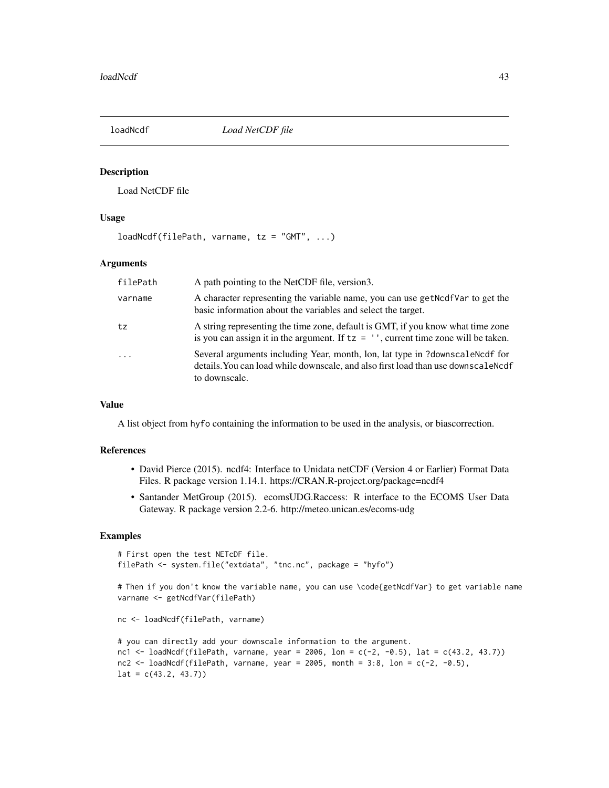<span id="page-42-1"></span><span id="page-42-0"></span>

### Description

Load NetCDF file

#### Usage

loadNcdf(filePath, varname, tz = "GMT", ...)

### Arguments

| filePath   | A path pointing to the NetCDF file, version3.                                                                                                                                        |
|------------|--------------------------------------------------------------------------------------------------------------------------------------------------------------------------------------|
| varname    | A character representing the variable name, you can use get Not all the set the<br>basic information about the variables and select the target.                                      |
| tz         | A string representing the time zone, default is GMT, if you know what time zone<br>is you can assign it in the argument. If $tz = ''$ , current time zone will be taken.             |
| $\ddots$ . | Several arguments including Year, month, lon, lat type in ?downscale Nedf for<br>details. You can load while downscale, and also first load than use downscale Ncdf<br>to downscale. |

### Value

A list object from hyfo containing the information to be used in the analysis, or biascorrection.

### References

- David Pierce (2015). ncdf4: Interface to Unidata netCDF (Version 4 or Earlier) Format Data Files. R package version 1.14.1. https://CRAN.R-project.org/package=ncdf4
- Santander MetGroup (2015). ecomsUDG.Raccess: R interface to the ECOMS User Data Gateway. R package version 2.2-6. http://meteo.unican.es/ecoms-udg

### Examples

```
# First open the test NETcDF file.
filePath <- system.file("extdata", "tnc.nc", package = "hyfo")
```
# Then if you don't know the variable name, you can use \code{getNcdfVar} to get variable name varname <- getNcdfVar(filePath)

```
nc <- loadNcdf(filePath, varname)
```

```
# you can directly add your downscale information to the argument.
nc1 <- loadNcdf(filePath, varname, year = 2006, lon = c(-2, -0.5), lat = c(43.2, 43.7))
nc2 \leq loadNcdf(filePath, varname, year = 2005, month = 3:8, lon = c(-2, -0.5),
lat = c(43.2, 43.7)
```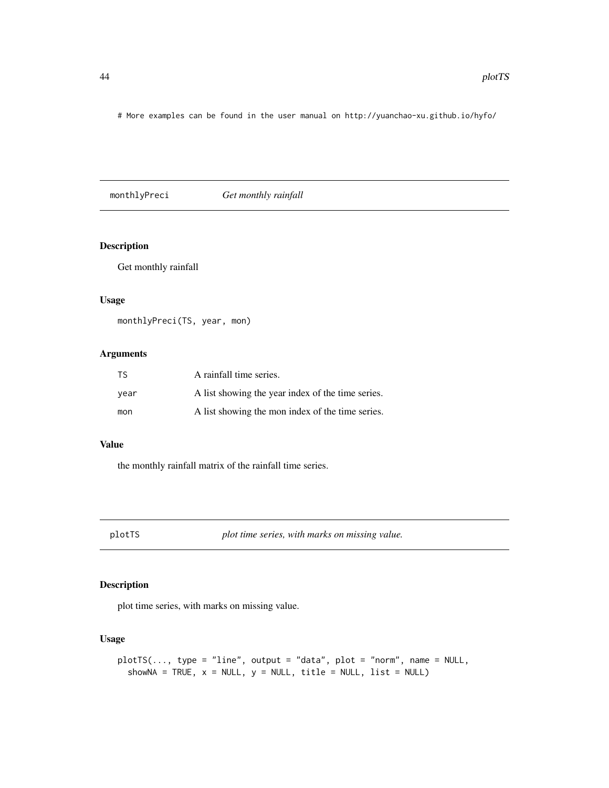<span id="page-43-0"></span># More examples can be found in the user manual on http://yuanchao-xu.github.io/hyfo/

monthlyPreci *Get monthly rainfall*

### Description

Get monthly rainfall

#### Usage

monthlyPreci(TS, year, mon)

#### Arguments

| <b>TS</b> | A rainfall time series.                           |
|-----------|---------------------------------------------------|
| vear      | A list showing the year index of the time series. |
| mon       | A list showing the mon index of the time series.  |

### Value

the monthly rainfall matrix of the rainfall time series.

plotTS *plot time series, with marks on missing value.*

### Description

plot time series, with marks on missing value.

### Usage

```
plotTS(..., type = "line", output = "data", plot = "norm", name = NULL,showNA = TRUE, x = NULL, y = NULL, title = NULL, list = NULL)
```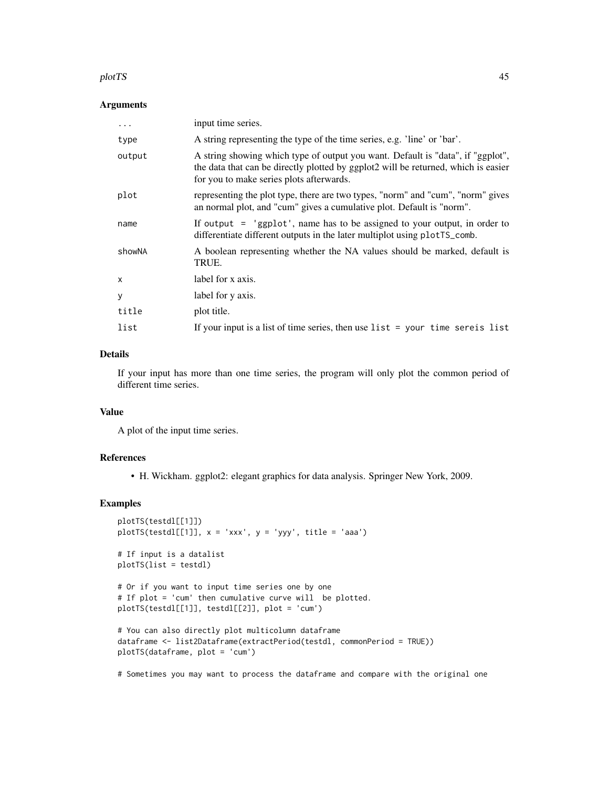#### plotTS and the set of the set of the set of the set of the set of the set of the set of the set of the set of the set of the set of the set of the set of the set of the set of the set of the set of the set of the set of th

#### Arguments

| .            | input time series.                                                                                                                                                                                                |
|--------------|-------------------------------------------------------------------------------------------------------------------------------------------------------------------------------------------------------------------|
| type         | A string representing the type of the time series, e.g. 'line' or 'bar'.                                                                                                                                          |
| output       | A string showing which type of output you want. Default is "data", if "ggplot",<br>the data that can be directly plotted by ggplot2 will be returned, which is easier<br>for you to make series plots afterwards. |
| plot         | representing the plot type, there are two types, "norm" and "cum", "norm" gives<br>an normal plot, and "cum" gives a cumulative plot. Default is "norm".                                                          |
| name         | If output $=$ 'ggplot', name has to be assigned to your output, in order to<br>differentiate different outputs in the later multiplot using plotter-                                                              |
| showNA       | A boolean representing whether the NA values should be marked, default is<br>TRUE.                                                                                                                                |
| $\mathsf{x}$ | label for x axis.                                                                                                                                                                                                 |
| У            | label for y axis.                                                                                                                                                                                                 |
| title        | plot title.                                                                                                                                                                                                       |
| list         | If your input is a list of time series, then use $list = your time series list$                                                                                                                                   |

#### Details

If your input has more than one time series, the program will only plot the common period of different time series.

### Value

A plot of the input time series.

#### References

• H. Wickham. ggplot2: elegant graphics for data analysis. Springer New York, 2009.

### Examples

```
plotTS(testdl[[1]])
plotTS(testdl[[1]], x = 'xxx', y = 'yyy', title = 'aaa')
# If input is a datalist
plotTS(list = testdl)
# Or if you want to input time series one by one
# If plot = 'cum' then cumulative curve will be plotted.
plotTS(testdl[[1]], testdl[[2]], plot = 'cum')
# You can also directly plot multicolumn dataframe
dataframe <- list2Dataframe(extractPeriod(testdl, commonPeriod = TRUE))
plotTS(dataframe, plot = 'cum')
```
# Sometimes you may want to process the dataframe and compare with the original one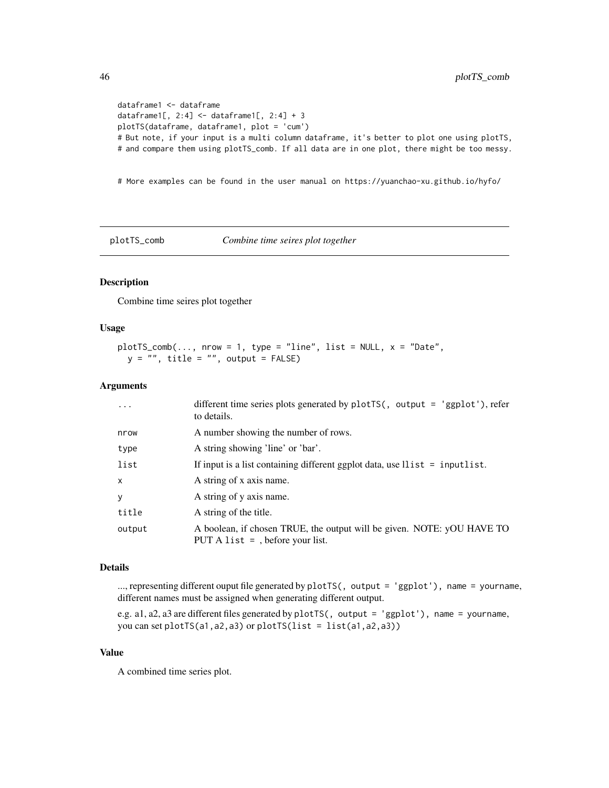```
dataframe1 <- dataframe
dataframe1[, 2:4] <- dataframe1[, 2:4] + 3
plotTS(dataframe, dataframe1, plot = 'cum')
# But note, if your input is a multi column dataframe, it's better to plot one using plotTS,
# and compare them using plotTS_comb. If all data are in one plot, there might be too messy.
```
# More examples can be found in the user manual on https://yuanchao-xu.github.io/hyfo/

plotTS\_comb *Combine time seires plot together*

### Description

Combine time seires plot together

#### Usage

```
plotTS\_comb(...., nrow = 1, type = "line", list = NULL, x = "Date",y = "", title = "", output = FALSE)
```
### Arguments

| $\ddots$ .   | different time series plots generated by $plotTS($ , output = 'ggplot'), refer<br>to details.                |
|--------------|--------------------------------------------------------------------------------------------------------------|
| nrow         | A number showing the number of rows.                                                                         |
| type         | A string showing 'line' or 'bar'.                                                                            |
| list         | If input is a list containing different ggplot data, use $llist = inputlist$ .                               |
| $\mathsf{x}$ | A string of x axis name.                                                                                     |
| y            | A string of y axis name.                                                                                     |
| title        | A string of the title.                                                                                       |
| output       | A boolean, if chosen TRUE, the output will be given. NOTE: yOU HAVE TO<br>PUT A list $=$ , before your list. |

#### Details

..., representing different ouput file generated by plotTS(, output = 'ggplot'), name = yourname, different names must be assigned when generating different output.

e.g. a1, a2, a3 are different files generated by plotTS(, output = 'ggplot'), name = yourname, you can set plotTS(a1,a2,a3) or plotTS(list = list(a1,a2,a3))

### Value

A combined time series plot.

<span id="page-45-0"></span>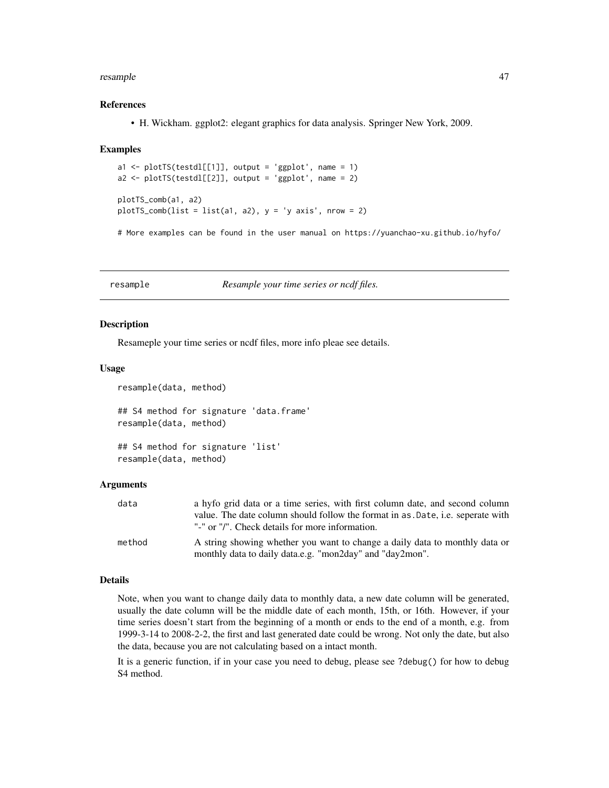#### <span id="page-46-0"></span>resample that the contract of the contract of the contract of the contract of the contract of the contract of the contract of the contract of the contract of the contract of the contract of the contract of the contract of

#### References

• H. Wickham. ggplot2: elegant graphics for data analysis. Springer New York, 2009.

#### Examples

```
a1 <- plotTS(testdl[[1]], output = 'ggplot', name = 1)
a2 \leq plotTS(testdl[[2]], output = 'ggplot', name = 2)plotTS_comb(a1, a2)
plotTS\_comb(list = list(a1, a2), y = 'y axis', nrow = 2)
```
# More examples can be found in the user manual on https://yuanchao-xu.github.io/hyfo/

resample *Resample your time series or ncdf files.*

#### Description

Resameple your time series or ncdf files, more info pleae see details.

#### Usage

```
resample(data, method)
## S4 method for signature 'data.frame'
resample(data, method)
```

```
## S4 method for signature 'list'
resample(data, method)
```
#### Arguments

| data   | a hyfo grid data or a time series, with first column date, and second column   |
|--------|--------------------------------------------------------------------------------|
|        | value. The date column should follow the format in as Date, i.e. seperate with |
|        | "-" or "/". Check details for more information.                                |
| method | A string showing whether you want to change a daily data to monthly data or    |
|        | monthly data to daily data.e.g. "mon2day" and "day2mon".                       |

#### Details

Note, when you want to change daily data to monthly data, a new date column will be generated, usually the date column will be the middle date of each month, 15th, or 16th. However, if your time series doesn't start from the beginning of a month or ends to the end of a month, e.g. from 1999-3-14 to 2008-2-2, the first and last generated date could be wrong. Not only the date, but also the data, because you are not calculating based on a intact month.

It is a generic function, if in your case you need to debug, please see ?debug() for how to debug S4 method.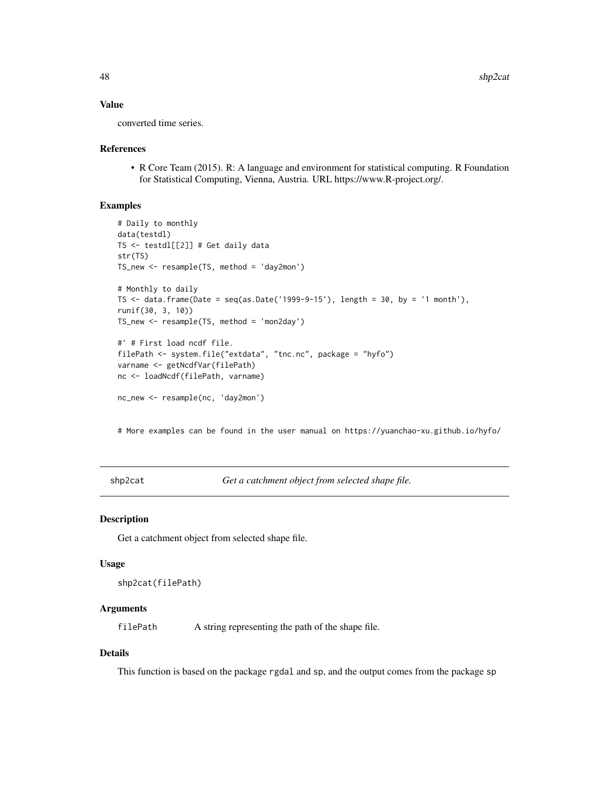### Value

converted time series.

#### References

• R Core Team (2015). R: A language and environment for statistical computing. R Foundation for Statistical Computing, Vienna, Austria. URL https://www.R-project.org/.

### Examples

```
# Daily to monthly
data(testdl)
TS <- testdl[[2]] # Get daily data
str(TS)
TS_new <- resample(TS, method = 'day2mon')
# Monthly to daily
TS \le data.frame(Date = seq(as.Date('1999-9-15'), length = 30, by = '1 month'),
runif(30, 3, 10))
TS_new <- resample(TS, method = 'mon2day')
#' # First load ncdf file.
filePath <- system.file("extdata", "tnc.nc", package = "hyfo")
varname <- getNcdfVar(filePath)
nc <- loadNcdf(filePath, varname)
nc_new <- resample(nc, 'day2mon')
```
# More examples can be found in the user manual on https://yuanchao-xu.github.io/hyfo/

shp2cat *Get a catchment object from selected shape file.*

### Description

Get a catchment object from selected shape file.

#### Usage

```
shp2cat(filePath)
```
### Arguments

filePath A string representing the path of the shape file.

### Details

This function is based on the package rgdal and sp, and the output comes from the package sp

<span id="page-47-0"></span>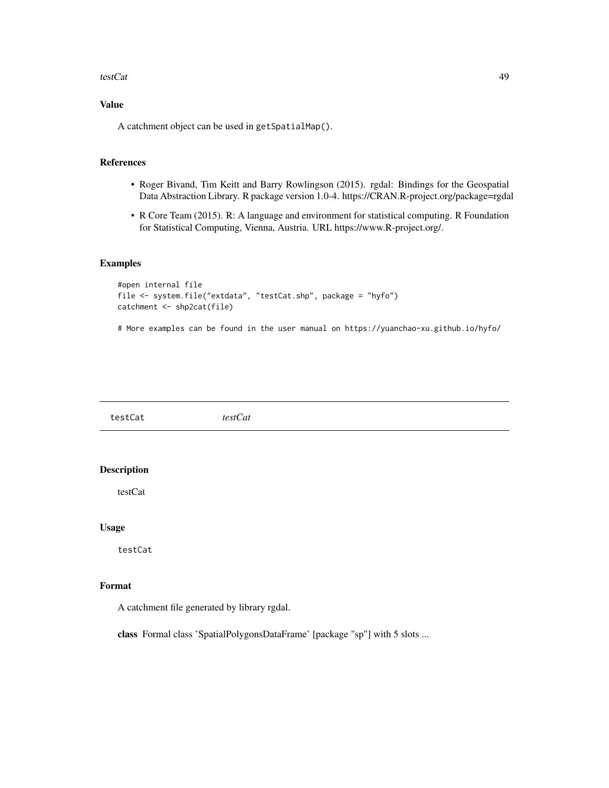#### <span id="page-48-0"></span>testCat and the contract of the contract of the contract of the contract of the contract of the contract of the contract of the contract of the contract of the contract of the contract of the contract of the contract of th

### Value

A catchment object can be used in getSpatialMap().

### References

- Roger Bivand, Tim Keitt and Barry Rowlingson (2015). rgdal: Bindings for the Geospatial Data Abstraction Library. R package version 1.0-4. https://CRAN.R-project.org/package=rgdal
- R Core Team (2015). R: A language and environment for statistical computing. R Foundation for Statistical Computing, Vienna, Austria. URL https://www.R-project.org/.

### Examples

```
#open internal file
file <- system.file("extdata", "testCat.shp", package = "hyfo")
catchment <- shp2cat(file)
```
# More examples can be found in the user manual on https://yuanchao-xu.github.io/hyfo/

| testCat            | testCat |
|--------------------|---------|
|                    |         |
| <b>Description</b> |         |
| testCat            |         |
| <b>Usage</b>       |         |
| testCat            |         |

### Format

A catchment file generated by library rgdal.

class Formal class 'SpatialPolygonsDataFrame' [package "sp"] with 5 slots ...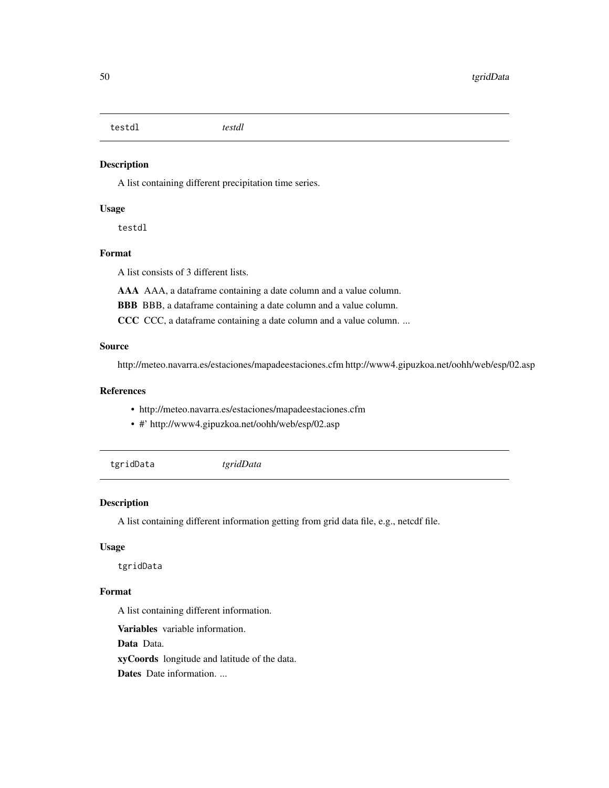<span id="page-49-0"></span>testdl *testdl*

### Description

A list containing different precipitation time series.

### Usage

testdl

### Format

A list consists of 3 different lists.

AAA AAA, a dataframe containing a date column and a value column.

BBB BBB, a dataframe containing a date column and a value column.

CCC CCC, a dataframe containing a date column and a value column. ...

### Source

http://meteo.navarra.es/estaciones/mapadeestaciones.cfm http://www4.gipuzkoa.net/oohh/web/esp/02.asp

### References

- http://meteo.navarra.es/estaciones/mapadeestaciones.cfm
- #' http://www4.gipuzkoa.net/oohh/web/esp/02.asp
- tgridData *tgridData*

### Description

A list containing different information getting from grid data file, e.g., netcdf file.

### Usage

tgridData

### Format

A list containing different information.

Variables variable information.

Data Data.

xyCoords longitude and latitude of the data.

Dates Date information. ...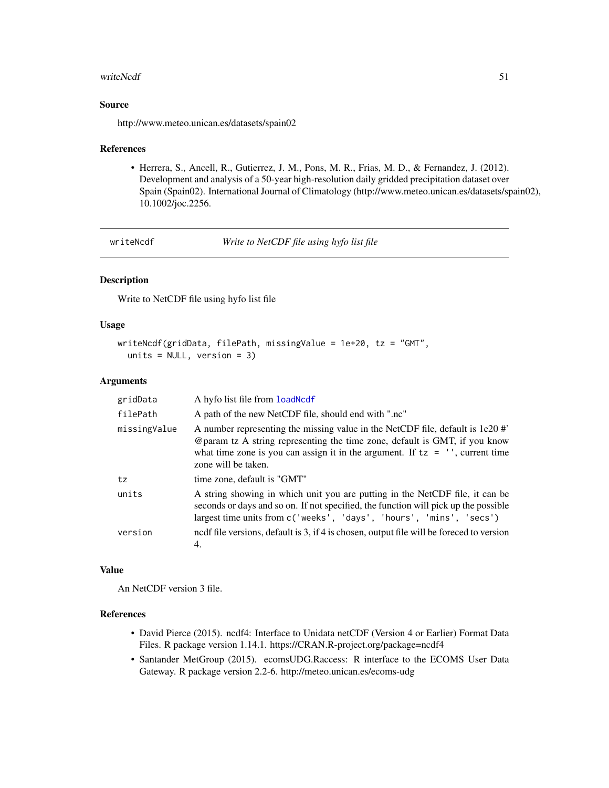#### <span id="page-50-0"></span>writeNcdf 51

#### Source

http://www.meteo.unican.es/datasets/spain02

#### References

• Herrera, S., Ancell, R., Gutierrez, J. M., Pons, M. R., Frias, M. D., & Fernandez, J. (2012). Development and analysis of a 50-year high-resolution daily gridded precipitation dataset over Spain (Spain02). International Journal of Climatology (http://www.meteo.unican.es/datasets/spain02), 10.1002/joc.2256.

writeNcdf *Write to NetCDF file using hyfo list file*

### Description

Write to NetCDF file using hyfo list file

#### Usage

```
writeNcdf(gridData, filePath, missingValue = 1e+20, tz = "GMT",
  units = NULL, version = 3)
```
#### Arguments

| gridData     | A hyfo list file from load Ncd f                                                                                                                                                                                                                                        |
|--------------|-------------------------------------------------------------------------------------------------------------------------------------------------------------------------------------------------------------------------------------------------------------------------|
| filePath     | A path of the new NetCDF file, should end with ".nc"                                                                                                                                                                                                                    |
| missingValue | A number representing the missing value in the NetCDF file, default is 1e20 #'<br>@param tz A string representing the time zone, default is GMT, if you know<br>what time zone is you can assign it in the argument. If $tz = ''$ , current time<br>zone will be taken. |
| tz           | time zone, default is "GMT"                                                                                                                                                                                                                                             |
| units        | A string showing in which unit you are putting in the NetCDF file, it can be<br>seconds or days and so on. If not specified, the function will pick up the possible<br>largest time units from c('weeks', 'days', 'hours', 'mins', 'secs')                              |
| version      | nedf file versions, default is 3, if 4 is chosen, output file will be foreced to version<br>4.                                                                                                                                                                          |

#### Value

An NetCDF version 3 file.

### References

- David Pierce (2015). ncdf4: Interface to Unidata netCDF (Version 4 or Earlier) Format Data Files. R package version 1.14.1. https://CRAN.R-project.org/package=ncdf4
- Santander MetGroup (2015). ecomsUDG.Raccess: R interface to the ECOMS User Data Gateway. R package version 2.2-6. http://meteo.unican.es/ecoms-udg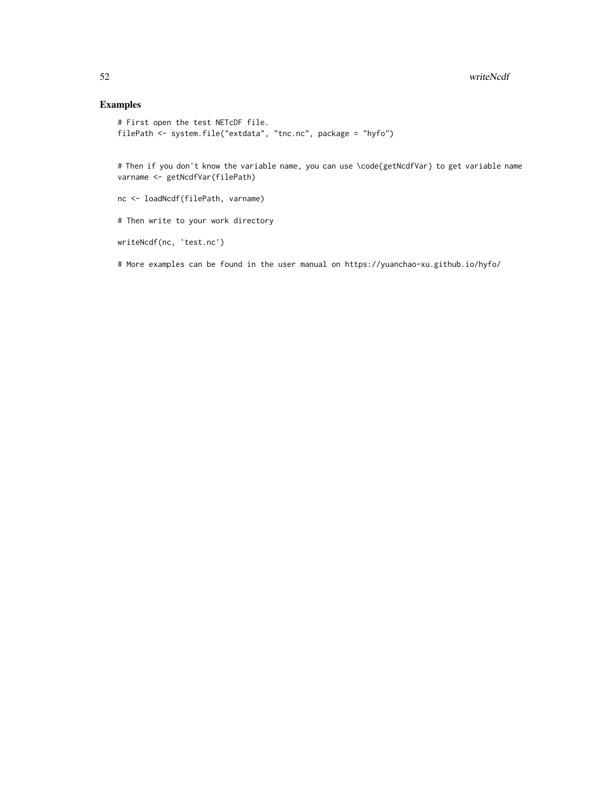### Examples

```
# First open the test NETcDF file.
filePath <- system.file("extdata", "tnc.nc", package = "hyfo")
```
# Then if you don't know the variable name, you can use \code{getNcdfVar} to get variable name varname <- getNcdfVar(filePath)

nc <- loadNcdf(filePath, varname)

# Then write to your work directory

```
writeNcdf(nc, 'test.nc')
```
# More examples can be found in the user manual on https://yuanchao-xu.github.io/hyfo/